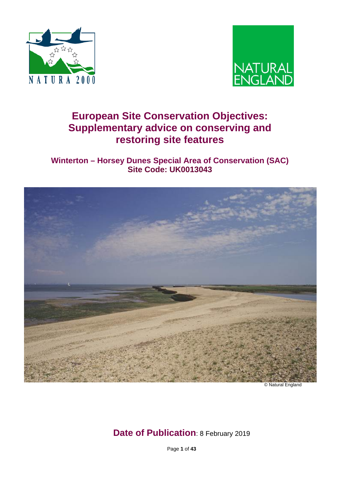



# **European Site Conservation Objectives: Supplementary advice on conserving and restoring site features**

**Winterton – Horsey Dunes Special Area of Conservation (SAC) Site Code: UK0013043**



© Natural England

## **Date of Publication**: 8 February 2019

Page **1** of **43**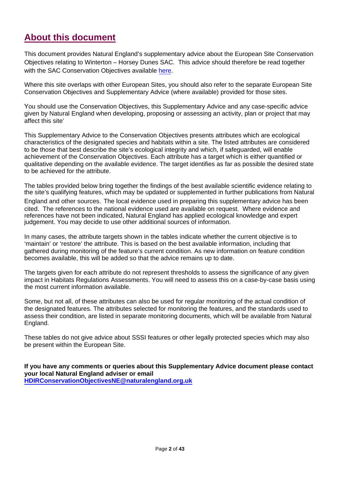## **About this document**

This document provides Natural England's supplementary advice about the European Site Conservation Objectives relating to Winterton – Horsey Dunes SAC. This advice should therefore be read together with the SAC Conservation Objectives available [here.](http://publications.naturalengland.org.uk/publication/5518326646177792)

Where this site overlaps with other European Sites, you should also refer to the separate European Site Conservation Objectives and Supplementary Advice (where available) provided for those sites.

You should use the Conservation Objectives, this Supplementary Advice and any case-specific advice given by Natural England when developing, proposing or assessing an activity, plan or project that may affect this site'

This Supplementary Advice to the Conservation Objectives presents attributes which are ecological characteristics of the designated species and habitats within a site. The listed attributes are considered to be those that best describe the site's ecological integrity and which, if safeguarded, will enable achievement of the Conservation Objectives. Each attribute has a target which is either quantified or qualitative depending on the available evidence. The target identifies as far as possible the desired state to be achieved for the attribute.

The tables provided below bring together the findings of the best available scientific evidence relating to the site's qualifying features, which may be updated or supplemented in further publications from Natural

England and other sources. The local evidence used in preparing this supplementary advice has been cited. The references to the national evidence used are available on request. Where evidence and references have not been indicated, Natural England has applied ecological knowledge and expert judgement. You may decide to use other additional sources of information.

In many cases, the attribute targets shown in the tables indicate whether the current objective is to 'maintain' or 'restore' the attribute. This is based on the best available information, including that gathered during monitoring of the feature's current condition. As new information on feature condition becomes available, this will be added so that the advice remains up to date.

The targets given for each attribute do not represent thresholds to assess the significance of any given impact in Habitats Regulations Assessments. You will need to assess this on a case-by-case basis using the most current information available.

Some, but not all, of these attributes can also be used for regular monitoring of the actual condition of the designated features. The attributes selected for monitoring the features, and the standards used to assess their condition, are listed in separate monitoring documents, which will be available from Natural England.

These tables do not give advice about SSSI features or other legally protected species which may also be present within the European Site.

**If you have any comments or queries about this Supplementary Advice document please contact your local Natural England adviser or email [HDIRConservationObjectivesNE@naturalengland.org.uk](mailto:HDIRConservationObjectivesNE@naturalengland.org.uk)**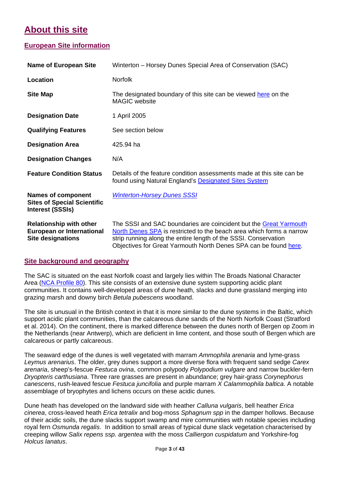# **About this site**

### **European Site information**

| <b>Name of European Site</b>                                                                   | Winterton – Horsey Dunes Special Area of Conservation (SAC)                                                                                                                                                                                                                      |  |
|------------------------------------------------------------------------------------------------|----------------------------------------------------------------------------------------------------------------------------------------------------------------------------------------------------------------------------------------------------------------------------------|--|
| Location                                                                                       | <b>Norfolk</b>                                                                                                                                                                                                                                                                   |  |
| <b>Site Map</b>                                                                                | The designated boundary of this site can be viewed here on the<br><b>MAGIC</b> website                                                                                                                                                                                           |  |
| <b>Designation Date</b>                                                                        | 1 April 2005                                                                                                                                                                                                                                                                     |  |
| <b>Qualifying Features</b>                                                                     | See section below                                                                                                                                                                                                                                                                |  |
| <b>Designation Area</b>                                                                        | 425.94 ha                                                                                                                                                                                                                                                                        |  |
| <b>Designation Changes</b>                                                                     | N/A                                                                                                                                                                                                                                                                              |  |
| <b>Feature Condition Status</b>                                                                | Details of the feature condition assessments made at this site can be<br>found using Natural England's <b>Designated Sites System</b>                                                                                                                                            |  |
| <b>Names of component</b><br><b>Sites of Special Scientific</b><br><b>Interest (SSSIs)</b>     | <b>Winterton-Horsey Dunes SSSI</b>                                                                                                                                                                                                                                               |  |
| <b>Relationship with other</b><br><b>European or International</b><br><b>Site designations</b> | The SSSI and SAC boundaries are coincident but the Great Yarmouth<br>North Denes SPA is restricted to the beach area which forms a narrow<br>strip running along the entire length of the SSSI. Conservation<br>Objectives for Great Yarmouth North Denes SPA can be found here. |  |

#### **Site background and geography**

The SAC is situated on the east Norfolk coast and largely lies within The Broads National Character Area [\(NCA Profile 80\)](http://publications.naturalengland.org.uk/publication/11549064). This site consists of an extensive dune system supporting acidic plant communities. It contains well-developed areas of dune heath, slacks and dune grassland merging into grazing marsh and downy birch *Betula pubescens* woodland.

The site is unusual in the British context in that it is more similar to the dune systems in the Baltic, which support acidic plant communities, than the calcareous dune sands of the North Norfolk Coast (Stratford et al. 2014). On the continent, there is marked difference between the dunes north of Bergen op Zoom in the Netherlands (near Antwerp), which are deficient in lime content, and those south of Bergen which are calcareous or partly calcareous.

The seaward edge of the dunes is well vegetated with marram *Ammophila arenaria* and lyme-grass *Leymus arenarius*. The older, grey dunes support a more diverse flora with frequent sand sedge *Carex arenaria*, sheep's-fescue *Festuca ovina*, common polypody *Polypodium vulgare* and narrow buckler-fern *Dryopteris carthusiana*. Three rare grasses are present in abundance; grey hair-grass *Corynephorus canescens*, rush-leaved fescue *Festuca juncifolia* and purple marram *X Calammophila baltica*. A notable assemblage of bryophytes and lichens occurs on these acidic dunes.

Dune heath has developed on the landward side with heather *Calluna vulgaris*, bell heather *Erica cinerea*, cross-leaved heath *Erica tetralix* and bog-moss *Sphagnum spp* in the damper hollows. Because of their acidic soils, the dune slacks support swamp and mire communities with notable species including royal fern *Osmunda regalis*. In addition to small areas of typical dune slack vegetation characterised by creeping willow *Salix repens ssp. argentea* with the moss *Calliergon cuspidatum* and Yorkshire-fog *Holcus lanatus*.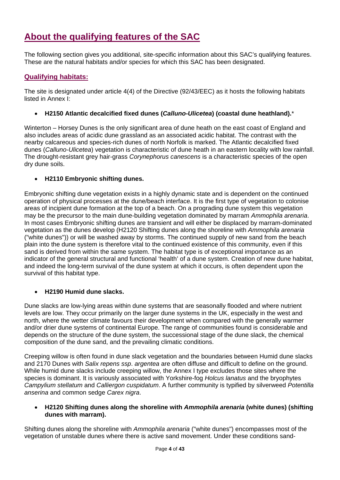# **About the qualifying features of the SAC**

The following section gives you additional, site-specific information about this SAC's qualifying features. These are the natural habitats and/or species for which this SAC has been designated.

### **Qualifying habitats:**

The site is designated under article 4(4) of the Directive (92/43/EEC) as it hosts the following habitats listed in Annex I:

• **H2150 Atlantic decalcified fixed dunes (***Calluno-Ulicetea***) (coastal dune heathland).**\*

Winterton – Horsey Dunes is the only significant area of dune heath on the east coast of England and also includes areas of acidic dune grassland as an associated acidic habitat. The contrast with the nearby calcareous and species-rich dunes of north Norfolk is marked. The Atlantic decalcified fixed dunes (*Calluno-Ulicetea*) vegetation is characteristic of dune heath in an eastern locality with low rainfall. The drought-resistant grey hair-grass *Corynephorus canescens* is a characteristic species of the open dry dune soils.

#### • **H2110 Embryonic shifting dunes.**

Embryonic shifting dune vegetation exists in a highly dynamic state and is dependent on the continued operation of physical processes at the dune/beach interface. It is the first type of vegetation to colonise areas of incipient dune formation at the top of a beach. On a prograding dune system this vegetation may be the precursor to the main dune-building vegetation dominated by marram *Ammophila arenaria*. In most cases Embryonic shifting dunes are transient and will either be displaced by marram-dominated vegetation as the dunes develop (H2120 Shifting dunes along the shoreline with *Ammophila arenaria* ("white dunes")) or will be washed away by storms. The continued supply of new sand from the beach plain into the dune system is therefore vital to the continued existence of this community, even if this sand is derived from within the same system. The habitat type is of exceptional importance as an indicator of the general structural and functional 'health' of a dune system. Creation of new dune habitat, and indeed the long-term survival of the dune system at which it occurs, is often dependent upon the survival of this habitat type.

#### • **H2190 Humid dune slacks.**

Dune slacks are low-lying areas within dune systems that are seasonally flooded and where nutrient levels are low. They occur primarily on the larger dune systems in the UK, especially in the west and north, where the wetter climate favours their development when compared with the generally warmer and/or drier dune systems of continental Europe. The range of communities found is considerable and depends on the structure of the dune system, the successional stage of the dune slack, the chemical composition of the dune sand, and the prevailing climatic conditions.

Creeping willow is often found in dune slack vegetation and the boundaries between Humid dune slacks and 2170 Dunes with *Salix repens ssp*. *argentea* are often diffuse and difficult to define on the ground. While humid dune slacks include creeping willow, the Annex I type excludes those sites where the species is dominant. It is variously associated with Yorkshire-fog *Holcus lanatus* and the bryophytes *Campylium stellatum* and *Calliergon cuspidatum*. A further community is typified by silverweed *Potentilla anserina* and common sedge *Carex nigra*.

#### • **H2120 Shifting dunes along the shoreline with** *Ammophila arenaria* **(white dunes) (shifting dunes with marram).**

Shifting dunes along the shoreline with *Ammophila arenaria* ("white dunes") encompasses most of the vegetation of unstable dunes where there is active sand movement. Under these conditions sand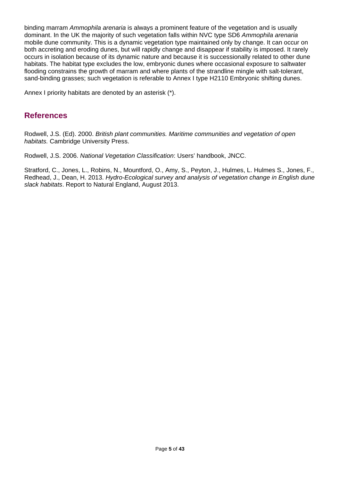binding marram *Ammophila arenaria* is always a prominent feature of the vegetation and is usually dominant. In the UK the majority of such vegetation falls within NVC type SD6 *Ammophila arenaria* mobile dune community. This is a dynamic vegetation type maintained only by change. It can occur on both accreting and eroding dunes, but will rapidly change and disappear if stability is imposed. It rarely occurs in isolation because of its dynamic nature and because it is successionally related to other dune habitats. The habitat type excludes the low, embryonic dunes where occasional exposure to saltwater flooding constrains the growth of marram and where plants of the strandline mingle with salt-tolerant, sand-binding grasses; such vegetation is referable to Annex I type H2110 Embryonic shifting dunes.

Annex I priority habitats are denoted by an asterisk (\*).

### **References**

Rodwell, J.S. (Ed). 2000. *British plant communities. Maritime communities and vegetation of open habitats.* Cambridge University Press.

Rodwell, J.S. 2006. *National Vegetation Classification*: Users' handbook, JNCC.

Stratford, C., Jones, L., Robins, N., Mountford, O., Amy, S., Peyton, J., Hulmes, L. Hulmes S., Jones, F., Redhead, J., Dean, H. 2013. *Hydro-Ecological survey and analysis of vegetation change in English dune slack habitats*. Report to Natural England, August 2013.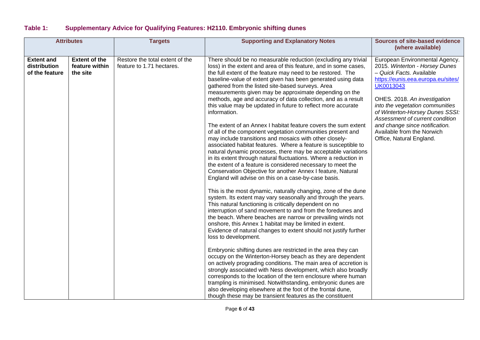### **Table 1: Supplementary Advice for Qualifying Features: H2110. Embryonic shifting dunes**

|                                                     | <b>Attributes</b>                                  | <b>Targets</b>                                               | <b>Supporting and Explanatory Notes</b>                                                                                                                                                                                                                                                                                                                                                                                                                                                                                                                                                                                                                                                                                                                                                                                                                                                                                                                                                                                                                                                                                                                                                                                                                                                                                                                                                                                                                                                                                                                                                                                                                                                                                                                                                                                                                                                                                                                                                                                                                                                                                                    | <b>Sources of site-based evidence</b><br>(where available)                                                                                                                                                                                                                                                                                                                           |
|-----------------------------------------------------|----------------------------------------------------|--------------------------------------------------------------|--------------------------------------------------------------------------------------------------------------------------------------------------------------------------------------------------------------------------------------------------------------------------------------------------------------------------------------------------------------------------------------------------------------------------------------------------------------------------------------------------------------------------------------------------------------------------------------------------------------------------------------------------------------------------------------------------------------------------------------------------------------------------------------------------------------------------------------------------------------------------------------------------------------------------------------------------------------------------------------------------------------------------------------------------------------------------------------------------------------------------------------------------------------------------------------------------------------------------------------------------------------------------------------------------------------------------------------------------------------------------------------------------------------------------------------------------------------------------------------------------------------------------------------------------------------------------------------------------------------------------------------------------------------------------------------------------------------------------------------------------------------------------------------------------------------------------------------------------------------------------------------------------------------------------------------------------------------------------------------------------------------------------------------------------------------------------------------------------------------------------------------------|--------------------------------------------------------------------------------------------------------------------------------------------------------------------------------------------------------------------------------------------------------------------------------------------------------------------------------------------------------------------------------------|
| <b>Extent and</b><br>distribution<br>of the feature | <b>Extent of the</b><br>feature within<br>the site | Restore the total extent of the<br>feature to 1.71 hectares. | There should be no measurable reduction (excluding any trivial<br>loss) in the extent and area of this feature, and in some cases,<br>the full extent of the feature may need to be restored. The<br>baseline-value of extent given has been generated using data<br>gathered from the listed site-based surveys. Area<br>measurements given may be approximate depending on the<br>methods, age and accuracy of data collection, and as a result<br>this value may be updated in future to reflect more accurate<br>information.<br>The extent of an Annex I habitat feature covers the sum extent<br>of all of the component vegetation communities present and<br>may include transitions and mosaics with other closely-<br>associated habitat features. Where a feature is susceptible to<br>natural dynamic processes, there may be acceptable variations<br>in its extent through natural fluctuations. Where a reduction in<br>the extent of a feature is considered necessary to meet the<br>Conservation Objective for another Annex I feature, Natural<br>England will advise on this on a case-by-case basis.<br>This is the most dynamic, naturally changing, zone of the dune<br>system. Its extent may vary seasonally and through the years.<br>This natural functioning is critically dependent on no<br>interruption of sand movement to and from the foredunes and<br>the beach. Where beaches are narrow or prevailing winds not<br>onshore, this Annex 1 habitat may be limited in extent.<br>Evidence of natural changes to extent should not justify further<br>loss to development.<br>Embryonic shifting dunes are restricted in the area they can<br>occupy on the Winterton-Horsey beach as they are dependent<br>on actively prograding conditions. The main area of accretion is<br>strongly associated with Ness development, which also broadly<br>corresponds to the location of the tern enclosure where human<br>trampling is minimised. Notwithstanding, embryonic dunes are<br>also developing elsewhere at the foot of the frontal dune,<br>though these may be transient features as the constituent | European Environmental Agency.<br>2015. Winterton - Horsey Dunes<br>- Quick Facts. Available<br>https://eunis.eea.europa.eu/sites/<br>UK0013043<br>OHES. 2018. An investigation<br>into the vegetation communities<br>of Winterton-Horsey Dunes SSSI:<br>Assessment of current condition<br>and change since notification.<br>Available from the Norwich<br>Office, Natural England. |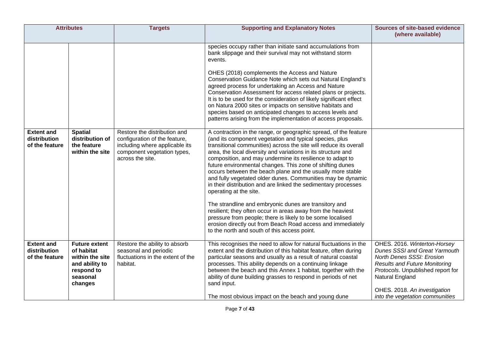|                                                     | <b>Attributes</b>                                                                                            | <b>Targets</b>                                                                                                                                     | <b>Supporting and Explanatory Notes</b>                                                                                                                                                                                                                                                                                                                                                                                                                                                                                                                                                                                                                                                                                                                                                                                                                                                                                                                                                                                                                                                                                                                                                                                                                                                                                                                                                                                                                                                                                                                                   | <b>Sources of site-based evidence</b><br>(where available)                                                                                                                                                                                                    |
|-----------------------------------------------------|--------------------------------------------------------------------------------------------------------------|----------------------------------------------------------------------------------------------------------------------------------------------------|---------------------------------------------------------------------------------------------------------------------------------------------------------------------------------------------------------------------------------------------------------------------------------------------------------------------------------------------------------------------------------------------------------------------------------------------------------------------------------------------------------------------------------------------------------------------------------------------------------------------------------------------------------------------------------------------------------------------------------------------------------------------------------------------------------------------------------------------------------------------------------------------------------------------------------------------------------------------------------------------------------------------------------------------------------------------------------------------------------------------------------------------------------------------------------------------------------------------------------------------------------------------------------------------------------------------------------------------------------------------------------------------------------------------------------------------------------------------------------------------------------------------------------------------------------------------------|---------------------------------------------------------------------------------------------------------------------------------------------------------------------------------------------------------------------------------------------------------------|
| <b>Extent and</b><br>distribution<br>of the feature | <b>Spatial</b><br>distribution of<br>the feature<br>within the site                                          | Restore the distribution and<br>configuration of the feature,<br>including where applicable its<br>component vegetation types,<br>across the site. | species occupy rather than initiate sand accumulations from<br>bank slippage and their survival may not withstand storm<br>events.<br>OHES (2018) complements the Access and Nature<br>Conservation Guidance Note which sets out Natural England's<br>agreed process for undertaking an Access and Nature<br>Conservation Assessment for access related plans or projects.<br>It is to be used for the consideration of likely significant effect<br>on Natura 2000 sites or impacts on sensitive habitats and<br>species based on anticipated changes to access levels and<br>patterns arising from the implementation of access proposals.<br>A contraction in the range, or geographic spread, of the feature<br>(and its component vegetation and typical species, plus<br>transitional communities) across the site will reduce its overall<br>area, the local diversity and variations in its structure and<br>composition, and may undermine its resilience to adapt to<br>future environmental changes. This zone of shifting dunes<br>occurs between the beach plane and the usually more stable<br>and fully vegetated older dunes. Communities may be dynamic<br>in their distribution and are linked the sedimentary processes<br>operating at the site.<br>The strandline and embryonic dunes are transitory and<br>resilient; they often occur in areas away from the heaviest<br>pressure from people; there is likely to be some localised<br>erosion directly out from Beach Road access and immediately<br>to the north and south of this access point. |                                                                                                                                                                                                                                                               |
| <b>Extent and</b><br>distribution<br>of the feature | <b>Future extent</b><br>of habitat<br>within the site<br>and ability to<br>respond to<br>seasonal<br>changes | Restore the ability to absorb<br>seasonal and periodic<br>fluctuations in the extent of the<br>habitat.                                            | This recognises the need to allow for natural fluctuations in the<br>extent and the distribution of this habitat feature, often during<br>particular seasons and usually as a result of natural coastal<br>processes. This ability depends on a continuing linkage<br>between the beach and this Annex 1 habitat, together with the<br>ability of dune building grasses to respond in periods of net<br>sand input.<br>The most obvious impact on the beach and young dune                                                                                                                                                                                                                                                                                                                                                                                                                                                                                                                                                                                                                                                                                                                                                                                                                                                                                                                                                                                                                                                                                                | OHES. 2016. Winterton-Horsey<br>Dunes SSSI and Great Yarmouth<br>North Denes SSSI: Erosion<br><b>Results and Future Monitoring</b><br>Protocols. Unpublished report for<br>Natural England<br>OHES. 2018. An investigation<br>into the vegetation communities |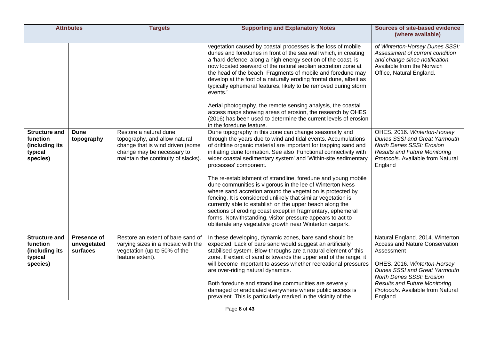| <b>Attributes</b>                                                         |                                               | <b>Targets</b>                                                                                                                                                   | <b>Supporting and Explanatory Notes</b>                                                                                                                                                                                                                                                                                                                                                                                                                                                                                                                                                                                                                                                                                                             | <b>Sources of site-based evidence</b><br>(where available)                                                                                                                                                                                                                |
|---------------------------------------------------------------------------|-----------------------------------------------|------------------------------------------------------------------------------------------------------------------------------------------------------------------|-----------------------------------------------------------------------------------------------------------------------------------------------------------------------------------------------------------------------------------------------------------------------------------------------------------------------------------------------------------------------------------------------------------------------------------------------------------------------------------------------------------------------------------------------------------------------------------------------------------------------------------------------------------------------------------------------------------------------------------------------------|---------------------------------------------------------------------------------------------------------------------------------------------------------------------------------------------------------------------------------------------------------------------------|
|                                                                           |                                               |                                                                                                                                                                  | vegetation caused by coastal processes is the loss of mobile<br>dunes and foredunes in front of the sea wall which, in creating<br>a 'hard defence' along a high energy section of the coast, is<br>now located seaward of the natural aeolian accretion zone at<br>the head of the beach. Fragments of mobile and foredune may<br>develop at the foot of a naturally eroding frontal dune, albeit as<br>typically ephemeral features, likely to be removed during storm<br>events.'                                                                                                                                                                                                                                                                | of Winterton-Horsey Dunes SSSI:<br>Assessment of current condition<br>and change since notification.<br>Available from the Norwich<br>Office, Natural England.                                                                                                            |
|                                                                           |                                               |                                                                                                                                                                  | Aerial photography, the remote sensing analysis, the coastal<br>access maps showing areas of erosion, the research by OHES<br>(2016) has been used to determine the current levels of erosion<br>in the foredune feature.                                                                                                                                                                                                                                                                                                                                                                                                                                                                                                                           |                                                                                                                                                                                                                                                                           |
| <b>Structure and</b><br>function<br>(including its<br>typical<br>species) | Dune<br>topography                            | Restore a natural dune<br>topography, and allow natural<br>change that is wind driven (some<br>change may be necessary to<br>maintain the continuity of slacks). | Dune topography in this zone can change seasonally and<br>through the years due to wind and tidal events. Accumulations<br>of driftline organic material are important for trapping sand and<br>initiating dune formation. See also 'Functional connectivity with<br>wider coastal sedimentary system' and 'Within-site sedimentary<br>processes' component.<br>The re-establishment of strandline, foredune and young mobile<br>dune communities is vigorous in the lee of Winterton Ness<br>where sand accretion around the vegetation is protected by<br>fencing. It is considered unlikely that similar vegetation is<br>currently able to establish on the upper beach along the<br>sections of eroding coast except in fragmentary, ephemeral | OHES. 2016. Winterton-Horsey<br>Dunes SSSI and Great Yarmouth<br>North Denes SSSI: Erosion<br><b>Results and Future Monitoring</b><br>Protocols. Available from Natural<br>England                                                                                        |
|                                                                           |                                               |                                                                                                                                                                  | forms. Notwithstanding, visitor pressure appears to act to<br>obliterate any vegetative growth near Winterton carpark.                                                                                                                                                                                                                                                                                                                                                                                                                                                                                                                                                                                                                              |                                                                                                                                                                                                                                                                           |
| <b>Structure and</b><br>function<br>(including its<br>typical<br>species) | <b>Presence of</b><br>unvegetated<br>surfaces | Restore an extent of bare sand of<br>varying sizes in a mosaic with the<br>vegetation (up to 50% of the<br>feature extent).                                      | In these developing, dynamic zones, bare sand should be<br>expected. Lack of bare sand would suggest an artificially<br>stabilised system. Blow-throughs are a natural element of this<br>zone. If extent of sand is towards the upper end of the range, it<br>will become important to assess whether recreational pressures<br>are over-riding natural dynamics.<br>Both foredune and strandline communities are severely<br>damaged or eradicated everywhere where public access is                                                                                                                                                                                                                                                              | Natural England. 2014. Winterton<br><b>Access and Nature Conservation</b><br>Assessment<br>OHES. 2016. Winterton-Horsey<br><b>Dunes SSSI and Great Yarmouth</b><br>North Denes SSSI: Erosion<br><b>Results and Future Monitoring</b><br>Protocols. Available from Natural |
|                                                                           |                                               |                                                                                                                                                                  | prevalent. This is particularly marked in the vicinity of the                                                                                                                                                                                                                                                                                                                                                                                                                                                                                                                                                                                                                                                                                       | England.                                                                                                                                                                                                                                                                  |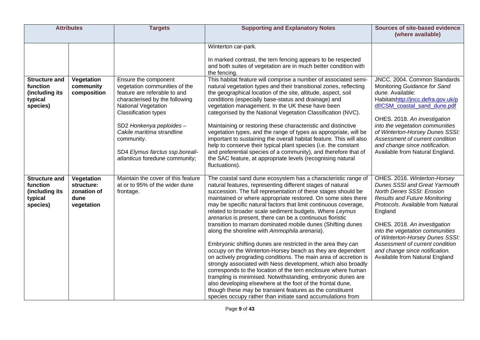|                                                                           | <b>Attributes</b>                                             | <b>Targets</b>                                                                                                                                                                                            | <b>Supporting and Explanatory Notes</b>                                                                                                                                                                                                                                                                                                                                                                                                                                                                                                                                                                                                                                                                                                                                                                                                                                                                                                                                                                                                                                                                                                                                | <b>Sources of site-based evidence</b><br>(where available)                                                                                                                                                                                                                                                                                                                                      |
|---------------------------------------------------------------------------|---------------------------------------------------------------|-----------------------------------------------------------------------------------------------------------------------------------------------------------------------------------------------------------|------------------------------------------------------------------------------------------------------------------------------------------------------------------------------------------------------------------------------------------------------------------------------------------------------------------------------------------------------------------------------------------------------------------------------------------------------------------------------------------------------------------------------------------------------------------------------------------------------------------------------------------------------------------------------------------------------------------------------------------------------------------------------------------------------------------------------------------------------------------------------------------------------------------------------------------------------------------------------------------------------------------------------------------------------------------------------------------------------------------------------------------------------------------------|-------------------------------------------------------------------------------------------------------------------------------------------------------------------------------------------------------------------------------------------------------------------------------------------------------------------------------------------------------------------------------------------------|
|                                                                           |                                                               |                                                                                                                                                                                                           | Winterton car-park.<br>In marked contrast, the tern fencing appears to be respected<br>and both suites of vegetation are in much better condition with<br>the fencing.                                                                                                                                                                                                                                                                                                                                                                                                                                                                                                                                                                                                                                                                                                                                                                                                                                                                                                                                                                                                 |                                                                                                                                                                                                                                                                                                                                                                                                 |
| <b>Structure and</b><br>function<br>(including its<br>typical<br>species) | Vegetation<br>community<br>composition                        | Ensure the component<br>vegetation communities of the<br>feature are referable to and<br>characterised by the following<br>National Vegetation<br><b>Classification types</b><br>SD2 Honkenya peploides - | This habitat feature will comprise a number of associated semi-<br>natural vegetation types and their transitional zones, reflecting<br>the geographical location of the site, altitude, aspect, soil<br>conditions (especially base-status and drainage) and<br>vegetation management. In the UK these have been<br>categorised by the National Vegetation Classification (NVC).<br>Maintaining or restoring these characteristic and distinctive                                                                                                                                                                                                                                                                                                                                                                                                                                                                                                                                                                                                                                                                                                                     | JNCC. 2004. Common Standards<br>Monitoring Guidance for Sand<br>dune. Available:<br>Habitatshttp://jncc.defra.gov.uk/p<br>df/CSM coastal sand dune.pdf<br>OHES. 2018. An investigation<br>into the vegetation communities                                                                                                                                                                       |
|                                                                           |                                                               | Cakile maritima strandline<br>community.<br>SD4 Elymus farctus ssp.boreali-<br>atlanticus foredune community;                                                                                             | vegetation types, and the range of types as appropriate, will be<br>important to sustaining the overall habitat feature. This will also<br>help to conserve their typical plant species (i.e. the constant<br>and preferential species of a community), and therefore that of<br>the SAC feature, at appropriate levels (recognising natural<br>fluctuations).                                                                                                                                                                                                                                                                                                                                                                                                                                                                                                                                                                                                                                                                                                                                                                                                         | of Winterton-Horsey Dunes SSSI:<br>Assessment of current condition<br>and change since notification.<br>Available from Natural England.                                                                                                                                                                                                                                                         |
| <b>Structure and</b><br>function<br>(including its<br>typical<br>species) | Vegetation<br>structure:<br>zonation of<br>dune<br>vegetation | Maintain the cover of this feature<br>at or to 95% of the wider dune<br>frontage.                                                                                                                         | The coastal sand dune ecosystem has a characteristic range of<br>natural features, representing different stages of natural<br>succession. The full representation of these stages should be<br>maintained or where appropriate restored. On some sites there<br>may be specific natural factors that limit continuous coverage,<br>related to broader scale sediment budgets. Where Leymus<br>arenarius is present, there can be a continuous floristic<br>transition to marram dominated mobile dunes (Shifting dunes<br>along the shoreline with Ammophila arenaria).<br>Embryonic shifting dunes are restricted in the area they can<br>occupy on the Winterton-Horsey beach as they are dependent<br>on actively prograding conditions. The main area of accretion is<br>strongly associated with Ness development, which also broadly<br>corresponds to the location of the tern enclosure where human<br>trampling is minimised. Notwithstanding, embryonic dunes are<br>also developing elsewhere at the foot of the frontal dune,<br>though these may be transient features as the constituent<br>species occupy rather than initiate sand accumulations from | OHES. 2016. Winterton-Horsey<br>Dunes SSSI and Great Yarmouth<br>North Denes SSSI: Erosion<br><b>Results and Future Monitoring</b><br>Protocols. Available from Natural<br>England<br>OHES. 2018. An investigation<br>into the vegetation communities<br>of Winterton-Horsey Dunes SSSI:<br>Assessment of current condition<br>and change since notification.<br>Available from Natural England |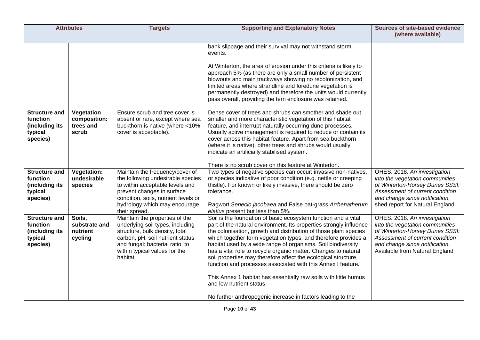|                                                                           | <b>Attributes</b>                                | <b>Targets</b>                                                                                                                                                                                                                  | <b>Supporting and Explanatory Notes</b>                                                                                                                                                                                                                                                                                                                                                                                                                                                                                                                                                                                                        | <b>Sources of site-based evidence</b><br>(where available)                                                                                                                                                 |
|---------------------------------------------------------------------------|--------------------------------------------------|---------------------------------------------------------------------------------------------------------------------------------------------------------------------------------------------------------------------------------|------------------------------------------------------------------------------------------------------------------------------------------------------------------------------------------------------------------------------------------------------------------------------------------------------------------------------------------------------------------------------------------------------------------------------------------------------------------------------------------------------------------------------------------------------------------------------------------------------------------------------------------------|------------------------------------------------------------------------------------------------------------------------------------------------------------------------------------------------------------|
|                                                                           |                                                  |                                                                                                                                                                                                                                 | bank slippage and their survival may not withstand storm<br>events.                                                                                                                                                                                                                                                                                                                                                                                                                                                                                                                                                                            |                                                                                                                                                                                                            |
|                                                                           |                                                  |                                                                                                                                                                                                                                 | At Winterton, the area of erosion under this criteria is likely to<br>approach 5% (as there are only a small number of persistent<br>blowouts and main trackways showing no recolonization, and<br>limited areas where strandline and foredune vegetation is<br>permanently destroyed) and therefore the units would currently<br>pass overall, providing the tern enclosure was retained.                                                                                                                                                                                                                                                     |                                                                                                                                                                                                            |
| <b>Structure and</b><br>function<br>(including its<br>typical<br>species) | Vegetation<br>composition:<br>trees and<br>scrub | Ensure scrub and tree cover is<br>absent or rare, except where sea<br>buckthorn is native (where <10%<br>cover is acceptable).                                                                                                  | Dense cover of trees and shrubs can smother and shade out<br>smaller and more characteristic vegetation of this habitat<br>feature, and interrupt naturally occurring dune processes.<br>Usually active management is required to reduce or contain its<br>cover across this habitat feature. Apart from sea buckthorn<br>(where it is native), other trees and shrubs would usually<br>indicate an artificially stabilised system.                                                                                                                                                                                                            |                                                                                                                                                                                                            |
| <b>Structure and</b><br>function<br>(including its<br>typical<br>species) | <b>Vegetation:</b><br>undesirable<br>species     | Maintain the frequency/cover of<br>the following undesirable species<br>to within acceptable levels and<br>prevent changes in surface<br>condition, soils, nutrient levels or<br>hydrology which may encourage<br>their spread. | There is no scrub cover on this feature at Winterton.<br>Two types of negative species can occur: invasive non-natives,<br>or species indicative of poor condition (e.g. nettle or creeping<br>thistle). For known or likely invasive, there should be zero<br>tolerance.<br>Ragwort Senecio jacobaea and False oat-grass Arrhenatherum<br>elatius present but less than 5%.                                                                                                                                                                                                                                                                   | OHES. 2018. An investigation<br>into the vegetation communities<br>of Winterton-Horsey Dunes SSSI:<br>Assessment of current condition<br>and change since notification.<br>shed report for Natural England |
| <b>Structure and</b><br>function<br>(including its<br>typical<br>species) | Soils,<br>substrate and<br>nutrient<br>cycling   | Maintain the properties of the<br>underlying soil types, including<br>structure, bulk density, total<br>carbon, pH, soil nutrient status<br>and fungal: bacterial ratio, to<br>within typical values for the<br>habitat.        | Soil is the foundation of basic ecosystem function and a vital<br>part of the natural environment. Its properties strongly influence<br>the colonisation, growth and distribution of those plant species<br>which together form vegetation types, and therefore provides a<br>habitat used by a wide range of organisms. Soil biodiversity<br>has a vital role to recycle organic matter. Changes to natural<br>soil properties may therefore affect the ecological structure,<br>function and processes associated with this Annex I feature.<br>This Annex 1 habitat has essentially raw soils with little humus<br>and low nutrient status. | OHES. 2018. An investigation<br>into the vegetation communities<br>of Winterton-Horsey Dunes SSSI:<br>Assessment of current condition<br>and change since notification.<br>Available from Natural England  |
|                                                                           |                                                  |                                                                                                                                                                                                                                 | No further anthropogenic increase in factors leading to the                                                                                                                                                                                                                                                                                                                                                                                                                                                                                                                                                                                    |                                                                                                                                                                                                            |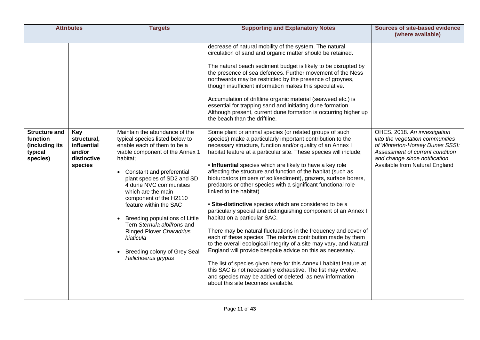|                                                                           | <b>Attributes</b>                                                     | <b>Targets</b>                                                                                                                                                                                                                                                                                                                                                                                                                                                                              | <b>Supporting and Explanatory Notes</b>                                                                                                                                                                                                                                                                                                                                                                                                                                                                                                                                                                                                                                                                                                                                                                                                                                                                                                                                                                                                                                                                                                                                                                                                                                                                                                                                                                                                                                                                                                                                                                                                                                                                                                                                                                                                             | <b>Sources of site-based evidence</b><br>(where available)                                                                                                                                                |
|---------------------------------------------------------------------------|-----------------------------------------------------------------------|---------------------------------------------------------------------------------------------------------------------------------------------------------------------------------------------------------------------------------------------------------------------------------------------------------------------------------------------------------------------------------------------------------------------------------------------------------------------------------------------|-----------------------------------------------------------------------------------------------------------------------------------------------------------------------------------------------------------------------------------------------------------------------------------------------------------------------------------------------------------------------------------------------------------------------------------------------------------------------------------------------------------------------------------------------------------------------------------------------------------------------------------------------------------------------------------------------------------------------------------------------------------------------------------------------------------------------------------------------------------------------------------------------------------------------------------------------------------------------------------------------------------------------------------------------------------------------------------------------------------------------------------------------------------------------------------------------------------------------------------------------------------------------------------------------------------------------------------------------------------------------------------------------------------------------------------------------------------------------------------------------------------------------------------------------------------------------------------------------------------------------------------------------------------------------------------------------------------------------------------------------------------------------------------------------------------------------------------------------------|-----------------------------------------------------------------------------------------------------------------------------------------------------------------------------------------------------------|
| <b>Structure and</b><br>function<br>(including its<br>typical<br>species) | Key<br>structural,<br>influential<br>and/or<br>distinctive<br>species | Maintain the abundance of the<br>typical species listed below to<br>enable each of them to be a<br>viable component of the Annex 1<br>habitat;<br>Constant and preferential<br>$\bullet$<br>plant species of SD2 and SD<br>4 dune NVC communities<br>which are the main<br>component of the H2110<br>feature within the SAC<br>Breeding populations of Little<br>Tern Sternula albifrons and<br>Ringed Plover Charadrius<br>hiaticula<br>Breeding colony of Grey Seal<br>Halichoerus grypus | decrease of natural mobility of the system. The natural<br>circulation of sand and organic matter should be retained.<br>The natural beach sediment budget is likely to be disrupted by<br>the presence of sea defences. Further movement of the Ness<br>northwards may be restricted by the presence of groynes,<br>though insufficient information makes this speculative.<br>Accumulation of driftline organic material (seaweed etc.) is<br>essential for trapping sand and initiating dune formation.<br>Although present, current dune formation is occurring higher up<br>the beach than the driftline.<br>Some plant or animal species (or related groups of such<br>species) make a particularly important contribution to the<br>necessary structure, function and/or quality of an Annex I<br>habitat feature at a particular site. These species will include;<br>. Influential species which are likely to have a key role<br>affecting the structure and function of the habitat (such as<br>bioturbators (mixers of soil/sediment), grazers, surface borers,<br>predators or other species with a significant functional role<br>linked to the habitat)<br>• Site-distinctive species which are considered to be a<br>particularly special and distinguishing component of an Annex I<br>habitat on a particular SAC.<br>There may be natural fluctuations in the frequency and cover of<br>each of these species. The relative contribution made by them<br>to the overall ecological integrity of a site may vary, and Natural<br>England will provide bespoke advice on this as necessary.<br>The list of species given here for this Annex I habitat feature at<br>this SAC is not necessarily exhaustive. The list may evolve,<br>and species may be added or deleted, as new information<br>about this site becomes available. | OHES. 2018. An investigation<br>into the vegetation communities<br>of Winterton-Horsey Dunes SSSI:<br>Assessment of current condition<br>and change since notification.<br>Available from Natural England |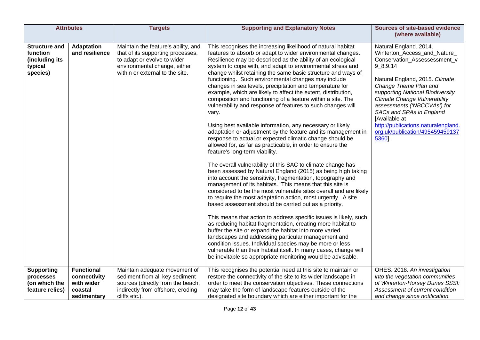|                                                                           | <b>Attributes</b>                                          | <b>Targets</b>                                                                                                                                                             | <b>Supporting and Explanatory Notes</b>                                                                                                                                                                                                                                                                                                                                                                                                                                                                                                                                                                                                                                                                                                                                                                                                                                                                                                                                                                                                                                                                                                                                                                                                                                                                                                                                                                                                                                                                                                                                                                                                                                                                                                                                                                                                                   | <b>Sources of site-based evidence</b><br>(where available)                                                                                                                                                                                                                                                                                                                                               |
|---------------------------------------------------------------------------|------------------------------------------------------------|----------------------------------------------------------------------------------------------------------------------------------------------------------------------------|-----------------------------------------------------------------------------------------------------------------------------------------------------------------------------------------------------------------------------------------------------------------------------------------------------------------------------------------------------------------------------------------------------------------------------------------------------------------------------------------------------------------------------------------------------------------------------------------------------------------------------------------------------------------------------------------------------------------------------------------------------------------------------------------------------------------------------------------------------------------------------------------------------------------------------------------------------------------------------------------------------------------------------------------------------------------------------------------------------------------------------------------------------------------------------------------------------------------------------------------------------------------------------------------------------------------------------------------------------------------------------------------------------------------------------------------------------------------------------------------------------------------------------------------------------------------------------------------------------------------------------------------------------------------------------------------------------------------------------------------------------------------------------------------------------------------------------------------------------------|----------------------------------------------------------------------------------------------------------------------------------------------------------------------------------------------------------------------------------------------------------------------------------------------------------------------------------------------------------------------------------------------------------|
| <b>Structure and</b><br>function<br>(including its<br>typical<br>species) | <b>Adaptation</b><br>and resilience                        | Maintain the feature's ability, and<br>that of its supporting processes,<br>to adapt or evolve to wider<br>environmental change, either<br>within or external to the site. | This recognises the increasing likelihood of natural habitat<br>features to absorb or adapt to wider environmental changes.<br>Resilience may be described as the ability of an ecological<br>system to cope with, and adapt to environmental stress and<br>change whilst retaining the same basic structure and ways of<br>functioning. Such environmental changes may include<br>changes in sea levels, precipitation and temperature for<br>example, which are likely to affect the extent, distribution,<br>composition and functioning of a feature within a site. The<br>vulnerability and response of features to such changes will<br>vary.<br>Using best available information, any necessary or likely<br>adaptation or adjustment by the feature and its management in<br>response to actual or expected climatic change should be<br>allowed for, as far as practicable, in order to ensure the<br>feature's long-term viability.<br>The overall vulnerability of this SAC to climate change has<br>been assessed by Natural England (2015) as being high taking<br>into account the sensitivity, fragmentation, topography and<br>management of its habitats. This means that this site is<br>considered to be the most vulnerable sites overall and are likely<br>to require the most adaptation action, most urgently. A site<br>based assessment should be carried out as a priority.<br>This means that action to address specific issues is likely, such<br>as reducing habitat fragmentation, creating more habitat to<br>buffer the site or expand the habitat into more varied<br>landscapes and addressing particular management and<br>condition issues. Individual species may be more or less<br>vulnerable than their habitat itself. In many cases, change will<br>be inevitable so appropriate monitoring would be advisable. | Natural England. 2014.<br>Winterton_Access_and_Nature_<br>Conservation_Assessessment_v<br>9_8.9.14<br>Natural England, 2015. Climate<br>Change Theme Plan and<br>supporting National Biodiversity<br><b>Climate Change Vulnerability</b><br>assessments ('NBCCVAs') for<br>SACs and SPAs in England<br>[Available at<br>http://publications.naturalengland.<br>org.uk/publication/495459459137<br>5360]. |
| <b>Supporting</b><br>processes<br>(on which the<br>feature relies)        | <b>Functional</b><br>connectivity<br>with wider<br>coastal | Maintain adequate movement of<br>sediment from all key sediment<br>sources (directly from the beach,<br>indirectly from offshore, eroding                                  | This recognises the potential need at this site to maintain or<br>restore the connectivity of the site to its wider landscape in<br>order to meet the conservation objectives. These connections<br>may take the form of landscape features outside of the                                                                                                                                                                                                                                                                                                                                                                                                                                                                                                                                                                                                                                                                                                                                                                                                                                                                                                                                                                                                                                                                                                                                                                                                                                                                                                                                                                                                                                                                                                                                                                                                | OHES. 2018. An investigation<br>into the vegetation communities<br>of Winterton-Horsey Dunes SSSI:<br>Assessment of current condition                                                                                                                                                                                                                                                                    |
|                                                                           | sedimentary                                                | cliffs etc.).                                                                                                                                                              | designated site boundary which are either important for the                                                                                                                                                                                                                                                                                                                                                                                                                                                                                                                                                                                                                                                                                                                                                                                                                                                                                                                                                                                                                                                                                                                                                                                                                                                                                                                                                                                                                                                                                                                                                                                                                                                                                                                                                                                               | and change since notification.                                                                                                                                                                                                                                                                                                                                                                           |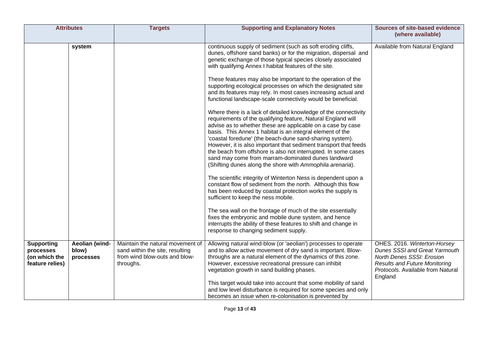| <b>Attributes</b>                                                                                          | <b>Targets</b>                                                                                                    | <b>Supporting and Explanatory Notes</b>                                                                                                                                                                                                                                                                                                                                                                                                                                                                                                                                                                                                                                                                                                                                                                                                                                                                                                                                                                                                                                                                                                                                                                                                                                                                                                                                                                                                                                                                                                                                                   | <b>Sources of site-based evidence</b><br>(where available)                                                                                                                                |
|------------------------------------------------------------------------------------------------------------|-------------------------------------------------------------------------------------------------------------------|-------------------------------------------------------------------------------------------------------------------------------------------------------------------------------------------------------------------------------------------------------------------------------------------------------------------------------------------------------------------------------------------------------------------------------------------------------------------------------------------------------------------------------------------------------------------------------------------------------------------------------------------------------------------------------------------------------------------------------------------------------------------------------------------------------------------------------------------------------------------------------------------------------------------------------------------------------------------------------------------------------------------------------------------------------------------------------------------------------------------------------------------------------------------------------------------------------------------------------------------------------------------------------------------------------------------------------------------------------------------------------------------------------------------------------------------------------------------------------------------------------------------------------------------------------------------------------------------|-------------------------------------------------------------------------------------------------------------------------------------------------------------------------------------------|
| system                                                                                                     |                                                                                                                   | continuous supply of sediment (such as soft eroding cliffs,<br>dunes, offshore sand banks) or for the migration, dispersal and<br>genetic exchange of those typical species closely associated<br>with qualifying Annex I habitat features of the site.<br>These features may also be important to the operation of the<br>supporting ecological processes on which the designated site<br>and its features may rely. In most cases increasing actual and<br>functional landscape-scale connectivity would be beneficial.<br>Where there is a lack of detailed knowledge of the connectivity<br>requirements of the qualifying feature, Natural England will<br>advise as to whether these are applicable on a case by case<br>basis. This Annex 1 habitat is an integral element of the<br>'coastal foredune' (the beach-dune sand-sharing system).<br>However, it is also important that sediment transport that feeds<br>the beach from offshore is also not interrupted. In some cases<br>sand may come from marram-dominated dunes landward<br>(Shifting dunes along the shore with Ammophila arenaria).<br>The scientific integrity of Winterton Ness is dependent upon a<br>constant flow of sediment from the north. Although this flow<br>has been reduced by coastal protection works the supply is<br>sufficient to keep the ness mobile.<br>The sea wall on the frontage of much of the site essentially<br>fixes the embryonic and mobile dune system, and hence<br>interrupts the ability of these features to shift and change in<br>response to changing sediment supply. | Available from Natural England                                                                                                                                                            |
| Aeolian (wind-<br><b>Supporting</b><br>blow)<br>processes<br>(on which the<br>processes<br>feature relies) | Maintain the natural movement of<br>sand within the site, resulting<br>from wind blow-outs and blow-<br>throughs. | Allowing natural wind-blow (or 'aeolian') processes to operate<br>and to allow active movement of dry sand is important. Blow-<br>throughs are a natural element of the dynamics of this zone.<br>However, excessive recreational pressure can inhibit<br>vegetation growth in sand building phases.<br>This target would take into account that some mobility of sand<br>and low level disturbance is required for some species and only<br>becomes an issue when re-colonisation is prevented by                                                                                                                                                                                                                                                                                                                                                                                                                                                                                                                                                                                                                                                                                                                                                                                                                                                                                                                                                                                                                                                                                        | OHES. 2016. Winterton-Horsey<br><b>Dunes SSSI and Great Yarmouth</b><br>North Denes SSSI: Erosion<br><b>Results and Future Monitoring</b><br>Protocols. Available from Natural<br>England |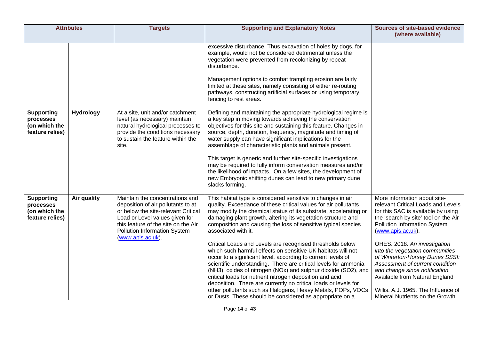|                                                                    | <b>Attributes</b> | <b>Targets</b>                                                                                                                                                                                                                                    | <b>Supporting and Explanatory Notes</b>                                                                                                                                                                                                                                                                                                                                                                                                                                                                                                                                                                                                                                                                                                                                                                                                                                                                                                                | <b>Sources of site-based evidence</b><br>(where available)                                                                                                                                                                                                                                                                                                                                                                                                                                   |
|--------------------------------------------------------------------|-------------------|---------------------------------------------------------------------------------------------------------------------------------------------------------------------------------------------------------------------------------------------------|--------------------------------------------------------------------------------------------------------------------------------------------------------------------------------------------------------------------------------------------------------------------------------------------------------------------------------------------------------------------------------------------------------------------------------------------------------------------------------------------------------------------------------------------------------------------------------------------------------------------------------------------------------------------------------------------------------------------------------------------------------------------------------------------------------------------------------------------------------------------------------------------------------------------------------------------------------|----------------------------------------------------------------------------------------------------------------------------------------------------------------------------------------------------------------------------------------------------------------------------------------------------------------------------------------------------------------------------------------------------------------------------------------------------------------------------------------------|
|                                                                    |                   |                                                                                                                                                                                                                                                   | excessive disturbance. Thus excavation of holes by dogs, for<br>example, would not be considered detrimental unless the<br>vegetation were prevented from recolonizing by repeat<br>disturbance.<br>Management options to combat trampling erosion are fairly<br>limited at these sites, namely consisting of either re-routing<br>pathways, constructing artificial surfaces or using temporary<br>fencing to rest areas.                                                                                                                                                                                                                                                                                                                                                                                                                                                                                                                             |                                                                                                                                                                                                                                                                                                                                                                                                                                                                                              |
| <b>Supporting</b><br>processes<br>(on which the<br>feature relies) | <b>Hydrology</b>  | At a site, unit and/or catchment<br>level (as necessary) maintain<br>natural hydrological processes to<br>provide the conditions necessary<br>to sustain the feature within the<br>site.                                                          | Defining and maintaining the appropriate hydrological regime is<br>a key step in moving towards achieving the conservation<br>objectives for this site and sustaining this feature. Changes in<br>source, depth, duration, frequency, magnitude and timing of<br>water supply can have significant implications for the<br>assemblage of characteristic plants and animals present.<br>This target is generic and further site-specific investigations<br>may be required to fully inform conservation measures and/or<br>the likelihood of impacts. On a few sites, the development of<br>new Embryonic shifting dunes can lead to new primary dune<br>slacks forming.                                                                                                                                                                                                                                                                                |                                                                                                                                                                                                                                                                                                                                                                                                                                                                                              |
| <b>Supporting</b><br>processes<br>(on which the<br>feature relies) | Air quality       | Maintain the concentrations and<br>deposition of air pollutants to at<br>or below the site-relevant Critical<br>Load or Level values given for<br>this feature of the site on the Air<br><b>Pollution Information System</b><br>(www.apis.ac.uk). | This habitat type is considered sensitive to changes in air<br>quality. Exceedance of these critical values for air pollutants<br>may modify the chemical status of its substrate, accelerating or<br>damaging plant growth, altering its vegetation structure and<br>composition and causing the loss of sensitive typical species<br>associated with it.<br>Critical Loads and Levels are recognised thresholds below<br>which such harmful effects on sensitive UK habitats will not<br>occur to a significant level, according to current levels of<br>scientific understanding. There are critical levels for ammonia<br>(NH3), oxides of nitrogen (NOx) and sulphur dioxide (SO2), and<br>critical loads for nutrient nitrogen deposition and acid<br>deposition. There are currently no critical loads or levels for<br>other pollutants such as Halogens, Heavy Metals, POPs, VOCs<br>or Dusts. These should be considered as appropriate on a | More information about site-<br>relevant Critical Loads and Levels<br>for this SAC is available by using<br>the 'search by site' tool on the Air<br>Pollution Information System<br>(www.apis.ac.uk).<br>OHES. 2018. An investigation<br>into the vegetation communities<br>of Winterton-Horsey Dunes SSSI:<br>Assessment of current condition<br>and change since notification.<br>Available from Natural England<br>Willis. A.J. 1965. The Influence of<br>Mineral Nutrients on the Growth |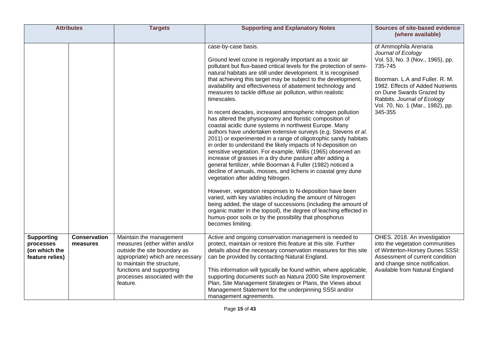|                                                                    | <b>Attributes</b>               | <b>Targets</b>                                                                                                                                                                                                                       | <b>Supporting and Explanatory Notes</b>                                                                                                                                                                                                                                                                                                                                                                                                                                                                                                                                                                                                                                                                                                                                                                                                                                                                                                                                                                                                                                                                                                                                                                                                                                                                                                                                                                                                                                          | <b>Sources of site-based evidence</b><br>(where available)                                                                                                                                                                                                                 |
|--------------------------------------------------------------------|---------------------------------|--------------------------------------------------------------------------------------------------------------------------------------------------------------------------------------------------------------------------------------|----------------------------------------------------------------------------------------------------------------------------------------------------------------------------------------------------------------------------------------------------------------------------------------------------------------------------------------------------------------------------------------------------------------------------------------------------------------------------------------------------------------------------------------------------------------------------------------------------------------------------------------------------------------------------------------------------------------------------------------------------------------------------------------------------------------------------------------------------------------------------------------------------------------------------------------------------------------------------------------------------------------------------------------------------------------------------------------------------------------------------------------------------------------------------------------------------------------------------------------------------------------------------------------------------------------------------------------------------------------------------------------------------------------------------------------------------------------------------------|----------------------------------------------------------------------------------------------------------------------------------------------------------------------------------------------------------------------------------------------------------------------------|
|                                                                    |                                 |                                                                                                                                                                                                                                      | case-by-case basis.<br>Ground level ozone is regionally important as a toxic air<br>pollutant but flux-based critical levels for the protection of semi-<br>natural habitats are still under development. It is recognised<br>that achieving this target may be subject to the development,<br>availability and effectiveness of abatement technology and<br>measures to tackle diffuse air pollution, within realistic<br>timescales.<br>In recent decades, increased atmospheric nitrogen pollution<br>has altered the physiognomy and floristic composition of<br>coastal acidic dune systems in northwest Europe. Many<br>authors have undertaken extensive surveys (e.g. Stevens et al.<br>2011) or experimented in a range of oligotrophic sandy habitats<br>in order to understand the likely impacts of N-deposition on<br>sensitive vegetation. For example, Willis (1965) observed an<br>increase of grasses in a dry dune pasture after adding a<br>general fertilizer, while Boorman & Fuller (1982) noticed a<br>decline of annuals, mosses, and lichens in coastal grey dune<br>vegetation after adding Nitrogen.<br>However, vegetation responses to N-deposition have been<br>varied, with key variables including the amount of Nitrogen<br>being added, the stage of successions (including the amount of<br>organic matter in the topsoil), the degree of leaching effected in<br>humus-poor soils or by the possibility that phosphorus<br>becomes limiting. | of Ammophila Arenaria<br>Journal of Ecology<br>Vol. 53, No. 3 (Nov., 1965), pp.<br>735-745<br>Boorman. L.A and Fuller. R. M.<br>1982. Effects of Added Nutrients<br>on Dune Swards Grazed by<br>Rabbits. Journal of Ecology<br>Vol. 70, No. 1 (Mar., 1982), pp.<br>345-355 |
| <b>Supporting</b><br>processes<br>(on which the<br>feature relies) | <b>Conservation</b><br>measures | Maintain the management<br>measures (either within and/or<br>outside the site boundary as<br>appropriate) which are necessary<br>to maintain the structure,<br>functions and supporting<br>processes associated with the<br>feature. | Active and ongoing conservation management is needed to<br>protect, maintain or restore this feature at this site. Further<br>details about the necessary conservation measures for this site<br>can be provided by contacting Natural England.<br>This information will typically be found within, where applicable,<br>supporting documents such as Natura 2000 Site Improvement<br>Plan, Site Management Strategies or Plans, the Views about<br>Management Statement for the underpinning SSSI and/or<br>management agreements.                                                                                                                                                                                                                                                                                                                                                                                                                                                                                                                                                                                                                                                                                                                                                                                                                                                                                                                                              | OHES. 2018. An investigation<br>into the vegetation communities<br>of Winterton-Horsey Dunes SSSI:<br>Assessment of current condition<br>and change since notification.<br>Available from Natural England                                                                  |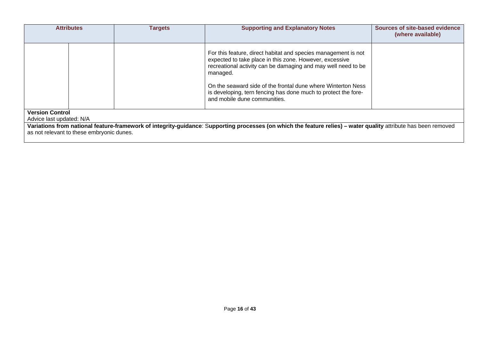| <b>Attributes</b>                                                                               | <b>Targets</b> | <b>Supporting and Explanatory Notes</b>                                                                                                                                                                                                                                                                                                                                  | <b>Sources of site-based evidence</b><br>(where available) |
|-------------------------------------------------------------------------------------------------|----------------|--------------------------------------------------------------------------------------------------------------------------------------------------------------------------------------------------------------------------------------------------------------------------------------------------------------------------------------------------------------------------|------------------------------------------------------------|
|                                                                                                 |                | For this feature, direct habitat and species management is not<br>expected to take place in this zone. However, excessive<br>recreational activity can be damaging and may well need to be<br>managed.<br>On the seaward side of the frontal dune where Winterton Ness<br>is developing, tern fencing has done much to protect the fore-<br>and mobile dune communities. |                                                            |
| <b>Version Control</b><br>Advice last updated: N/A<br>as not relevant to these embryonic dunes. |                | Variations from national feature-framework of integrity-guidance: Supporting processes (on which the feature relies) – water quality attribute has been removed                                                                                                                                                                                                          |                                                            |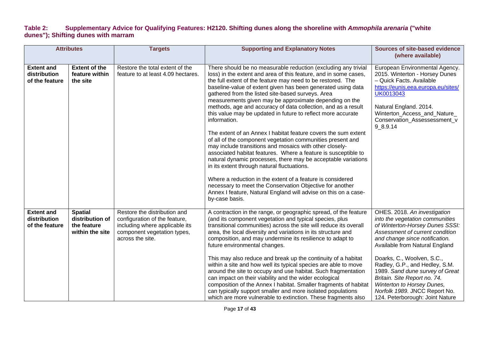#### **Table 2: Supplementary Advice for Qualifying Features: H2120. Shifting dunes along the shoreline with** *Ammophila arenaria* **("white dunes"); Shifting dunes with marram**

| <b>Attributes</b>                                   |                                                                     | <b>Targets</b>                                                                                                                                     | <b>Supporting and Explanatory Notes</b>                                                                                                                                                                                                                                                                                                                                                                                                                                                                                                                                                                                                                                                                                                                                                                                                                                                                                                                                                                                                                                                                                       | <b>Sources of site-based evidence</b><br>(where available)                                                                                                                                                                                                                                                                                                                                                                                     |
|-----------------------------------------------------|---------------------------------------------------------------------|----------------------------------------------------------------------------------------------------------------------------------------------------|-------------------------------------------------------------------------------------------------------------------------------------------------------------------------------------------------------------------------------------------------------------------------------------------------------------------------------------------------------------------------------------------------------------------------------------------------------------------------------------------------------------------------------------------------------------------------------------------------------------------------------------------------------------------------------------------------------------------------------------------------------------------------------------------------------------------------------------------------------------------------------------------------------------------------------------------------------------------------------------------------------------------------------------------------------------------------------------------------------------------------------|------------------------------------------------------------------------------------------------------------------------------------------------------------------------------------------------------------------------------------------------------------------------------------------------------------------------------------------------------------------------------------------------------------------------------------------------|
| <b>Extent and</b><br>distribution<br>of the feature | <b>Extent of the</b><br>feature within<br>the site                  | Restore the total extent of the<br>feature to at least 4.09 hectares.                                                                              | There should be no measurable reduction (excluding any trivial<br>loss) in the extent and area of this feature, and in some cases,<br>the full extent of the feature may need to be restored. The<br>baseline-value of extent given has been generated using data<br>gathered from the listed site-based surveys. Area<br>measurements given may be approximate depending on the<br>methods, age and accuracy of data collection, and as a result<br>this value may be updated in future to reflect more accurate<br>information.<br>The extent of an Annex I habitat feature covers the sum extent<br>of all of the component vegetation communities present and<br>may include transitions and mosaics with other closely-<br>associated habitat features. Where a feature is susceptible to<br>natural dynamic processes, there may be acceptable variations<br>in its extent through natural fluctuations.<br>Where a reduction in the extent of a feature is considered<br>necessary to meet the Conservation Objective for another<br>Annex I feature, Natural England will advise on this on a case-<br>by-case basis. | European Environmental Agency.<br>2015. Winterton - Horsey Dunes<br>- Quick Facts. Available<br>https://eunis.eea.europa.eu/sites/<br>UK0013043<br>Natural England. 2014.<br>Winterton_Access_and_Nature_<br>Conservation_Assessessment_v<br>$9 - 8.9.14$                                                                                                                                                                                      |
| <b>Extent and</b><br>distribution<br>of the feature | <b>Spatial</b><br>distribution of<br>the feature<br>within the site | Restore the distribution and<br>configuration of the feature,<br>including where applicable its<br>component vegetation types,<br>across the site. | A contraction in the range, or geographic spread, of the feature<br>(and its component vegetation and typical species, plus<br>transitional communities) across the site will reduce its overall<br>area, the local diversity and variations in its structure and<br>composition, and may undermine its resilience to adapt to<br>future environmental changes.<br>This may also reduce and break up the continuity of a habitat<br>within a site and how well its typical species are able to move<br>around the site to occupy and use habitat. Such fragmentation<br>can impact on their viability and the wider ecological<br>composition of the Annex I habitat. Smaller fragments of habitat<br>can typically support smaller and more isolated populations<br>which are more vulnerable to extinction. These fragments also                                                                                                                                                                                                                                                                                            | OHES. 2018. An investigation<br>into the vegetation communities<br>of Winterton-Horsey Dunes SSSI:<br>Assessment of current condition<br>and change since notification.<br>Available from Natural England<br>Doarks, C., Woolven, S.C.,<br>Radley, G.P., and Hedley, S.M.<br>1989. Sand dune survey of Great<br>Britain. Site Report no. 74.<br>Winterton to Horsey Dunes,<br>Norfolk 1989. JNCC Report No.<br>124. Peterborough: Joint Nature |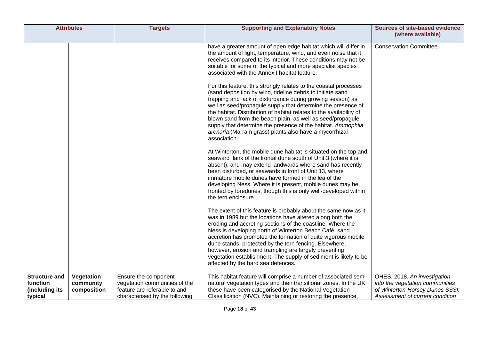| <b>Attributes</b>                                             |                                        | <b>Targets</b>                                                                                                          | <b>Supporting and Explanatory Notes</b>                                                                                                                                                                                                                                                                                                                                                                                                                                                                                                                                                                                                                                                                                                                                                                                                                            | Sources of site-based evidence<br>(where available)                                                                                   |
|---------------------------------------------------------------|----------------------------------------|-------------------------------------------------------------------------------------------------------------------------|--------------------------------------------------------------------------------------------------------------------------------------------------------------------------------------------------------------------------------------------------------------------------------------------------------------------------------------------------------------------------------------------------------------------------------------------------------------------------------------------------------------------------------------------------------------------------------------------------------------------------------------------------------------------------------------------------------------------------------------------------------------------------------------------------------------------------------------------------------------------|---------------------------------------------------------------------------------------------------------------------------------------|
|                                                               |                                        |                                                                                                                         | have a greater amount of open edge habitat which will differ in<br>the amount of light, temperature, wind, and even noise that it<br>receives compared to its interior. These conditions may not be<br>suitable for some of the typical and more specialist species<br>associated with the Annex I habitat feature.<br>For this feature, this strongly relates to the coastal processes<br>(sand deposition by wind, tideline debris to initiate sand<br>trapping and lack of disturbance during growing season) as<br>well as seed/propagule supply that determine the presence of<br>the habitat. Distribution of habitat relates to the availability of<br>blown sand from the beach plain, as well as seed/propagule<br>supply that determine the presence of the habitat. Ammophila<br>arenaria (Marram grass) plants also have a mycorrhizal<br>association. | <b>Conservation Committee.</b>                                                                                                        |
|                                                               |                                        |                                                                                                                         | At Winterton, the mobile dune habitat is situated on the top and<br>seaward flank of the frontal dune south of Unit 3 (where it is<br>absent), and may extend landwards where sand has recently<br>been disturbed, or seawards in front of Unit 13, where<br>immature mobile dunes have formed in the lea of the<br>developing Ness. Where it is present, mobile dunes may be<br>fronted by foredunes, though this is only well-developed within<br>the tern enclosure.                                                                                                                                                                                                                                                                                                                                                                                            |                                                                                                                                       |
|                                                               |                                        |                                                                                                                         | The extent of this feature is probably about the same now as it<br>was in 1989 but the locations have altered along both the<br>eroding and accreting sections of the coastline. Where the<br>Ness is developing north of Winterton Beach Café, sand<br>accretion has promoted the formation of quite vigorous mobile<br>dune stands, protected by the tern fencing. Elsewhere,<br>however, erosion and trampling are largely preventing<br>vegetation establishment. The supply of sediment is likely to be<br>affected by the hard sea defences.                                                                                                                                                                                                                                                                                                                 |                                                                                                                                       |
| <b>Structure and</b><br>function<br>(including its<br>typical | Vegetation<br>community<br>composition | Ensure the component<br>vegetation communities of the<br>feature are referable to and<br>characterised by the following | This habitat feature will comprise a number of associated semi-<br>natural vegetation types and their transitional zones. In the UK<br>these have been categorised by the National Vegetation<br>Classification (NVC). Maintaining or restoring the presence,                                                                                                                                                                                                                                                                                                                                                                                                                                                                                                                                                                                                      | OHES. 2018. An investigation<br>into the vegetation communities<br>of Winterton-Horsey Dunes SSSI:<br>Assessment of current condition |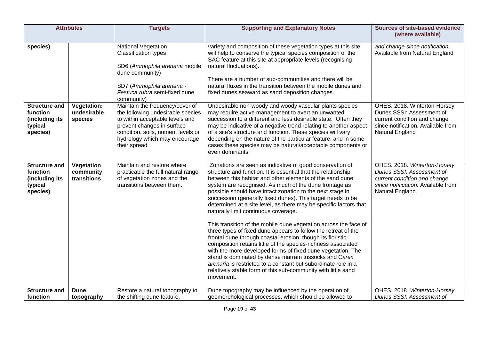| <b>Attributes</b>                                                         |                                              | <b>Targets</b>                                                                                                                                                                                                                 | <b>Supporting and Explanatory Notes</b>                                                                                                                                                                                                                                                                                                                                                                                                                                                                                                                                                                                                                                                                                                                                                                                                                                                                                                                                                                                               | <b>Sources of site-based evidence</b><br>(where available)                                                                                         |
|---------------------------------------------------------------------------|----------------------------------------------|--------------------------------------------------------------------------------------------------------------------------------------------------------------------------------------------------------------------------------|---------------------------------------------------------------------------------------------------------------------------------------------------------------------------------------------------------------------------------------------------------------------------------------------------------------------------------------------------------------------------------------------------------------------------------------------------------------------------------------------------------------------------------------------------------------------------------------------------------------------------------------------------------------------------------------------------------------------------------------------------------------------------------------------------------------------------------------------------------------------------------------------------------------------------------------------------------------------------------------------------------------------------------------|----------------------------------------------------------------------------------------------------------------------------------------------------|
| species)                                                                  |                                              | National Vegetation<br><b>Classification types</b><br>SD6 (Ammophila arenaria mobile<br>dune community)<br>SD7 (Ammophila arenaria -<br>Festuca rubra semi-fixed dune<br>community)                                            | variety and composition of these vegetation types at this site<br>will help to conserve the typical species composition of the<br>SAC feature at this site at appropriate levels (recognising<br>natural fluctuations).<br>There are a number of sub-communities and there will be<br>natural fluxes in the transition between the mobile dunes and<br>fixed dunes seaward as sand deposition changes.                                                                                                                                                                                                                                                                                                                                                                                                                                                                                                                                                                                                                                | and change since notification.<br>Available from Natural England                                                                                   |
| <b>Structure and</b><br>function<br>(including its<br>typical<br>species) | <b>Vegetation:</b><br>undesirable<br>species | Maintain the frequency/cover of<br>the following undesirable species<br>to within acceptable levels and<br>prevent changes in surface<br>condition, soils, nutrient levels or<br>hydrology which may encourage<br>their spread | Undesirable non-woody and woody vascular plants species<br>may require active management to avert an unwanted<br>succession to a different and less desirable state. Often they<br>may be indicative of a negative trend relating to another aspect<br>of a site's structure and function. These species will vary<br>depending on the nature of the particular feature, and in some<br>cases these species may be natural/acceptable components or<br>even dominants.                                                                                                                                                                                                                                                                                                                                                                                                                                                                                                                                                                | OHES. 2018. Winterton-Horsey<br>Dunes SSSI: Assessment of<br>current condition and change<br>since notification. Available from<br>Natural England |
| <b>Structure and</b><br>function<br>(including its<br>typical<br>species) | Vegetation<br>community<br>transitions       | Maintain and restore where<br>practicable the full natural range<br>of vegetation zones and the<br>transitions between them.                                                                                                   | Zonations are seen as indicative of good conservation of<br>structure and function. It is essential that the relationship<br>between this habitat and other elements of the sand dune<br>system are recognised. As much of the dune frontage as<br>possible should have intact zonation to the next stage in<br>succession (generally fixed dunes). This target needs to be<br>determined at a site level, as there may be specific factors that<br>naturally limit continuous coverage.<br>This transition of the mobile dune vegetation across the face of<br>three types of fixed dune appears to follow the retreat of the<br>frontal dune through coastal erosion, though its floristic<br>composition retains little of the species-richness associated<br>with the more developed forms of fixed dune vegetation. The<br>stand is dominated by dense marram tussocks and Carex<br>arenaria is restricted to a constant but subordinate role in a<br>relatively stable form of this sub-community with little sand<br>movement. | OHES. 2018. Winterton-Horsey<br>Dunes SSSI: Assessment of<br>current condition and change<br>since notification. Available from<br>Natural England |
| <b>Structure and</b><br>function                                          | Dune<br>topography                           | Restore a natural topography to<br>the shifting dune feature.                                                                                                                                                                  | Dune topography may be influenced by the operation of<br>geomorphological processes, which should be allowed to                                                                                                                                                                                                                                                                                                                                                                                                                                                                                                                                                                                                                                                                                                                                                                                                                                                                                                                       | OHES. 2018. Winterton-Horsey<br>Dunes SSSI: Assessment of                                                                                          |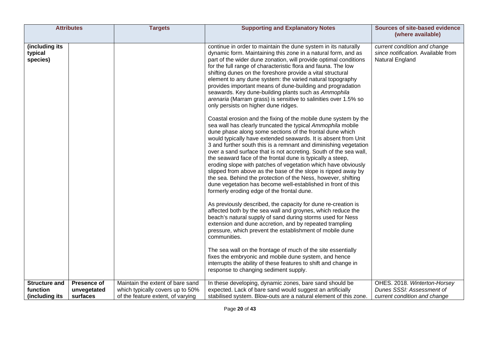| <b>Attributes</b>                                                                                   | <b>Targets</b>                                                                                            | <b>Supporting and Explanatory Notes</b>                                                                                                                                                                                                                                                                                                                                                                                                                                                                                                                                                                                                                                                                                                                                                                                                                                                                                                                                                                                                                                                                                                                                                                                                                                                                                                                                                                                                                                                                                                                                                                                                                                                                                                                                                                                                                                                                                                                                                            | <b>Sources of site-based evidence</b><br>(where available)                                |
|-----------------------------------------------------------------------------------------------------|-----------------------------------------------------------------------------------------------------------|----------------------------------------------------------------------------------------------------------------------------------------------------------------------------------------------------------------------------------------------------------------------------------------------------------------------------------------------------------------------------------------------------------------------------------------------------------------------------------------------------------------------------------------------------------------------------------------------------------------------------------------------------------------------------------------------------------------------------------------------------------------------------------------------------------------------------------------------------------------------------------------------------------------------------------------------------------------------------------------------------------------------------------------------------------------------------------------------------------------------------------------------------------------------------------------------------------------------------------------------------------------------------------------------------------------------------------------------------------------------------------------------------------------------------------------------------------------------------------------------------------------------------------------------------------------------------------------------------------------------------------------------------------------------------------------------------------------------------------------------------------------------------------------------------------------------------------------------------------------------------------------------------------------------------------------------------------------------------------------------------|-------------------------------------------------------------------------------------------|
| (including its<br>typical<br>species)                                                               |                                                                                                           | continue in order to maintain the dune system in its naturally<br>dynamic form. Maintaining this zone in a natural form, and as<br>part of the wider dune zonation, will provide optimal conditions<br>for the full range of characteristic flora and fauna. The low<br>shifting dunes on the foreshore provide a vital structural<br>element to any dune system: the varied natural topography<br>provides important means of dune-building and progradation<br>seawards. Key dune-building plants such as Ammophila<br>arenaria (Marram grass) is sensitive to salinities over 1.5% so<br>only persists on higher dune ridges.<br>Coastal erosion and the fixing of the mobile dune system by the<br>sea wall has clearly truncated the typical Ammophila mobile<br>dune phase along some sections of the frontal dune which<br>would typically have extended seawards. It is absent from Unit<br>3 and further south this is a remnant and diminishing vegetation<br>over a sand surface that is not accreting. South of the sea wall,<br>the seaward face of the frontal dune is typically a steep,<br>eroding slope with patches of vegetation which have obviously<br>slipped from above as the base of the slope is ripped away by<br>the sea. Behind the protection of the Ness, however, shifting<br>dune vegetation has become well-established in front of this<br>formerly eroding edge of the frontal dune.<br>As previously described, the capacity for dune re-creation is<br>affected both by the sea wall and groynes, which reduce the<br>beach's natural supply of sand during storms used for Ness<br>extension and dune accretion, and by repeated trampling<br>pressure, which prevent the establishment of mobile dune<br>communities.<br>The sea wall on the frontage of much of the site essentially<br>fixes the embryonic and mobile dune system, and hence<br>interrupts the ability of these features to shift and change in<br>response to changing sediment supply. | current condition and change<br>since notification. Available from<br>Natural England     |
| <b>Structure and</b><br><b>Presence of</b><br>function<br>unvegetated<br>(including its<br>surfaces | Maintain the extent of bare sand<br>which typically covers up to 50%<br>of the feature extent, of varying | In these developing, dynamic zones, bare sand should be<br>expected. Lack of bare sand would suggest an artificially<br>stabilised system. Blow-outs are a natural element of this zone.                                                                                                                                                                                                                                                                                                                                                                                                                                                                                                                                                                                                                                                                                                                                                                                                                                                                                                                                                                                                                                                                                                                                                                                                                                                                                                                                                                                                                                                                                                                                                                                                                                                                                                                                                                                                           | OHES. 2018. Winterton-Horsey<br>Dunes SSSI: Assessment of<br>current condition and change |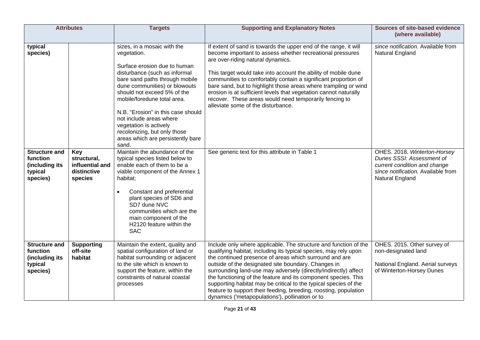|                                                                           | <b>Attributes</b>                                                      | <b>Targets</b>                                                                                                                                                                                                                                                                                                                                                                                                        | <b>Supporting and Explanatory Notes</b>                                                                                                                                                                                                                                                                                                                                                                                                                                                                                                                                               | <b>Sources of site-based evidence</b><br>(where available)                                                                                         |
|---------------------------------------------------------------------------|------------------------------------------------------------------------|-----------------------------------------------------------------------------------------------------------------------------------------------------------------------------------------------------------------------------------------------------------------------------------------------------------------------------------------------------------------------------------------------------------------------|---------------------------------------------------------------------------------------------------------------------------------------------------------------------------------------------------------------------------------------------------------------------------------------------------------------------------------------------------------------------------------------------------------------------------------------------------------------------------------------------------------------------------------------------------------------------------------------|----------------------------------------------------------------------------------------------------------------------------------------------------|
| typical<br>species)                                                       |                                                                        | sizes, in a mosaic with the<br>vegetation.<br>Surface erosion due to human<br>disturbance (such as informal<br>bare sand paths through mobile<br>dune communities) or blowouts<br>should not exceed 5% of the<br>mobile/foredune total area.<br>N.B. "Erosion" in this case should<br>not include areas where<br>vegetation is actively<br>recolonizing, but only those<br>areas which are persistently bare<br>sand. | If extent of sand is towards the upper end of the range, it will<br>become important to assess whether recreational pressures<br>are over-riding natural dynamics.<br>This target would take into account the ability of mobile dune<br>communities to comfortably contain a significant proportion of<br>bare sand, but to highlight those areas where trampling or wind<br>erosion is at sufficient levels that vegetation cannot naturally<br>recover. These areas would need temporarily fencing to<br>alleviate some of the disturbance.                                         | since notification. Available from<br>Natural England                                                                                              |
| <b>Structure and</b><br>function<br>(including its<br>typical<br>species) | <b>Key</b><br>structural,<br>influential and<br>distinctive<br>species | Maintain the abundance of the<br>typical species listed below to<br>enable each of them to be a<br>viable component of the Annex 1<br>habitat;<br>Constant and preferential<br>$\bullet$<br>plant species of SD6 and<br>SD7 dune NVC<br>communities which are the<br>main component of the<br>H2120 feature within the<br><b>SAC</b>                                                                                  | See generic text for this attribute in Table 1                                                                                                                                                                                                                                                                                                                                                                                                                                                                                                                                        | OHES. 2018. Winterton-Horsey<br>Dunes SSSI: Assessment of<br>current condition and change<br>since notification. Available from<br>Natural England |
| <b>Structure and</b><br>function<br>(including its<br>typical<br>species) | <b>Supporting</b><br>off-site<br>habitat                               | Maintain the extent, quality and<br>spatial configuration of land or<br>habitat surrounding or adjacent<br>to the site which is known to<br>support the feature, within the<br>constraints of natural coastal<br>processes                                                                                                                                                                                            | Include only where applicable. The structure and function of the<br>qualifying habitat, including its typical species, may rely upon<br>the continued presence of areas which surround and are<br>outside of the designated site boundary. Changes in<br>surrounding land-use may adversely (directly/indirectly) affect<br>the functioning of the feature and its component species. This<br>supporting habitat may be critical to the typical species of the<br>feature to support their feeding, breeding, roosting, population<br>dynamics ('metapopulations'), pollination or to | OHES. 2015. Other survey of<br>non-designated land<br>National England. Aerial surveys<br>of Winterton-Horsey Dunes                                |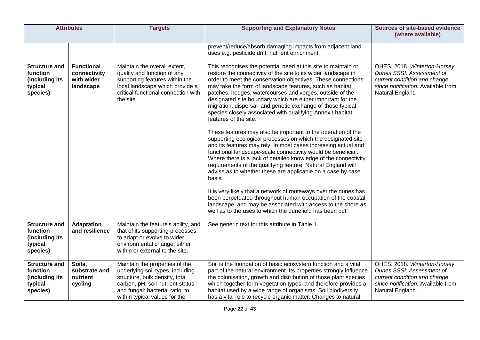|                                                                           | <b>Attributes</b>                                            | <b>Targets</b>                                                                                                                                                                                               | <b>Supporting and Explanatory Notes</b>                                                                                                                                                                                                                                                                                                                                                                                                                                                                                                                                                                                                                                                                                                                                                                                                                                                                                                                                                                                                                                                                                                                                                                                                                                                   | <b>Sources of site-based evidence</b><br>(where available)                                                                                          |
|---------------------------------------------------------------------------|--------------------------------------------------------------|--------------------------------------------------------------------------------------------------------------------------------------------------------------------------------------------------------------|-------------------------------------------------------------------------------------------------------------------------------------------------------------------------------------------------------------------------------------------------------------------------------------------------------------------------------------------------------------------------------------------------------------------------------------------------------------------------------------------------------------------------------------------------------------------------------------------------------------------------------------------------------------------------------------------------------------------------------------------------------------------------------------------------------------------------------------------------------------------------------------------------------------------------------------------------------------------------------------------------------------------------------------------------------------------------------------------------------------------------------------------------------------------------------------------------------------------------------------------------------------------------------------------|-----------------------------------------------------------------------------------------------------------------------------------------------------|
|                                                                           |                                                              |                                                                                                                                                                                                              | prevent/reduce/absorb damaging impacts from adjacent land<br>uses e.g. pesticide drift, nutrient enrichment.                                                                                                                                                                                                                                                                                                                                                                                                                                                                                                                                                                                                                                                                                                                                                                                                                                                                                                                                                                                                                                                                                                                                                                              |                                                                                                                                                     |
| <b>Structure and</b><br>function<br>(including its<br>typical<br>species) | <b>Functional</b><br>connectivity<br>with wider<br>landscape | Maintain the overall extent,<br>quality and function of any<br>supporting features within the<br>local landscape which provide a<br>critical functional connection with<br>the site                          | This recognises the potential need at this site to maintain or<br>restore the connectivity of the site to its wider landscape in<br>order to meet the conservation objectives. These connections<br>may take the form of landscape features, such as habitat<br>patches, hedges, watercourses and verges, outside of the<br>designated site boundary which are either important for the<br>migration, dispersal and genetic exchange of those typical<br>species closely associated with qualifying Annex I habitat<br>features of the site.<br>These features may also be important to the operation of the<br>supporting ecological processes on which the designated site<br>and its features may rely. In most cases increasing actual and<br>functional landscape-scale connectivity would be beneficial.<br>Where there is a lack of detailed knowledge of the connectivity<br>requirements of the qualifying feature, Natural England will<br>advise as to whether these are applicable on a case by case<br>basis.<br>It is very likely that a network of routeways over the dunes has<br>been perpetuated throughout human occupation of the coastal<br>landscape, and may be associated with access to the shore as<br>well as to the uses to which the dunefield has been put. | OHES. 2018. Winterton-Horsey<br>Dunes SSSI: Assessment of<br>current condition and change<br>since notification. Available from<br>Natural England  |
| <b>Structure and</b><br>function<br>(including its<br>typical<br>species) | <b>Adaptation</b><br>and resilience                          | Maintain the feature's ability, and<br>that of its supporting processes,<br>to adapt or evolve to wider<br>environmental change, either<br>within or external to the site.                                   | See generic text for this attribute in Table 1.                                                                                                                                                                                                                                                                                                                                                                                                                                                                                                                                                                                                                                                                                                                                                                                                                                                                                                                                                                                                                                                                                                                                                                                                                                           |                                                                                                                                                     |
| <b>Structure and</b><br>function<br>(including its<br>typical<br>species) | Soils,<br>substrate and<br>nutrient<br>cycling               | Maintain the properties of the<br>underlying soil types, including<br>structure, bulk density, total<br>carbon, pH, soil nutrient status<br>and fungal: bacterial ratio, to<br>within typical values for the | Soil is the foundation of basic ecosystem function and a vital<br>part of the natural environment. Its properties strongly influence<br>the colonisation, growth and distribution of those plant species<br>which together form vegetation types, and therefore provides a<br>habitat used by a wide range of organisms. Soil biodiversity<br>has a vital role to recycle organic matter. Changes to natural                                                                                                                                                                                                                                                                                                                                                                                                                                                                                                                                                                                                                                                                                                                                                                                                                                                                              | OHES. 2018. Winterton-Horsey<br>Dunes SSSI: Assessment of<br>current condition and change<br>since notification. Available from<br>Natural England. |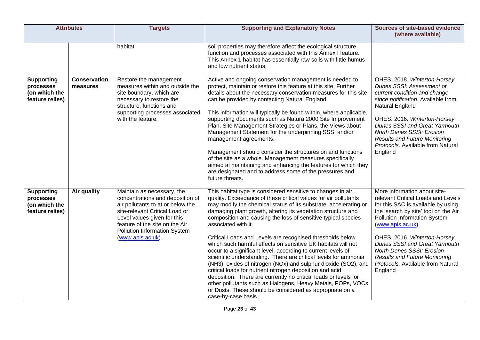| <b>Attributes</b>                                                  |                                 | <b>Targets</b>                                                                                                                                                                                                                                              | <b>Supporting and Explanatory Notes</b>                                                                                                                                                                                                                                                                                                                                                                                                                                                                                                                                                                                                                                                                                                                                                                                                                                                                                                                                       | <b>Sources of site-based evidence</b><br>(where available)                                                                                                                                                                                                                                                                                                                                         |
|--------------------------------------------------------------------|---------------------------------|-------------------------------------------------------------------------------------------------------------------------------------------------------------------------------------------------------------------------------------------------------------|-------------------------------------------------------------------------------------------------------------------------------------------------------------------------------------------------------------------------------------------------------------------------------------------------------------------------------------------------------------------------------------------------------------------------------------------------------------------------------------------------------------------------------------------------------------------------------------------------------------------------------------------------------------------------------------------------------------------------------------------------------------------------------------------------------------------------------------------------------------------------------------------------------------------------------------------------------------------------------|----------------------------------------------------------------------------------------------------------------------------------------------------------------------------------------------------------------------------------------------------------------------------------------------------------------------------------------------------------------------------------------------------|
|                                                                    |                                 | habitat.                                                                                                                                                                                                                                                    | soil properties may therefore affect the ecological structure,<br>function and processes associated with this Annex I feature.<br>This Annex 1 habitat has essentially raw soils with little humus<br>and low nutrient status.                                                                                                                                                                                                                                                                                                                                                                                                                                                                                                                                                                                                                                                                                                                                                |                                                                                                                                                                                                                                                                                                                                                                                                    |
| <b>Supporting</b><br>processes<br>(on which the<br>feature relies) | <b>Conservation</b><br>measures | Restore the management<br>measures within and outside the<br>site boundary, which are<br>necessary to restore the<br>structure, functions and<br>supporting processes associated<br>with the feature.                                                       | Active and ongoing conservation management is needed to<br>protect, maintain or restore this feature at this site. Further<br>details about the necessary conservation measures for this site<br>can be provided by contacting Natural England.<br>This information will typically be found within, where applicable,<br>supporting documents such as Natura 2000 Site Improvement<br>Plan, Site Management Strategies or Plans, the Views about<br>Management Statement for the underpinning SSSI and/or<br>management agreements.<br>Management should consider the structures on and functions<br>of the site as a whole. Management measures specifically<br>aimed at maintaining and enhancing the features for which they<br>are designated and to address some of the pressures and<br>future threats.                                                                                                                                                                 | OHES. 2018. Winterton-Horsey<br>Dunes SSSI: Assessment of<br>current condition and change<br>since notification. Available from<br>Natural England<br>OHES. 2016. Winterton-Horsey<br><b>Dunes SSSI and Great Yarmouth</b><br>North Denes SSSI: Erosion<br><b>Results and Future Monitoring</b><br>Protocols. Available from Natural<br>England                                                    |
| <b>Supporting</b><br>processes<br>(on which the<br>feature relies) | <b>Air quality</b>              | Maintain as necessary, the<br>concentrations and deposition of<br>air pollutants to at or below the<br>site-relevant Critical Load or<br>Level values given for this<br>feature of the site on the Air<br>Pollution Information System<br>(www.apis.ac.uk). | This habitat type is considered sensitive to changes in air<br>quality. Exceedance of these critical values for air pollutants<br>may modify the chemical status of its substrate, accelerating or<br>damaging plant growth, altering its vegetation structure and<br>composition and causing the loss of sensitive typical species<br>associated with it.<br>Critical Loads and Levels are recognised thresholds below<br>which such harmful effects on sensitive UK habitats will not<br>occur to a significant level, according to current levels of<br>scientific understanding. There are critical levels for ammonia<br>(NH3), oxides of nitrogen (NOx) and sulphur dioxide (SO2), and<br>critical loads for nutrient nitrogen deposition and acid<br>deposition. There are currently no critical loads or levels for<br>other pollutants such as Halogens, Heavy Metals, POPs, VOCs<br>or Dusts. These should be considered as appropriate on a<br>case-by-case basis. | More information about site-<br>relevant Critical Loads and Levels<br>for this SAC is available by using<br>the 'search by site' tool on the Air<br>Pollution Information System<br>(www.apis.ac.uk).<br>OHES. 2016. Winterton-Horsey<br><b>Dunes SSSI and Great Yarmouth</b><br>North Denes SSSI: Erosion<br><b>Results and Future Monitoring</b><br>Protocols. Available from Natural<br>England |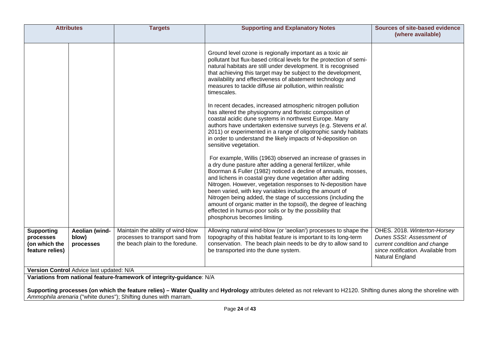|                                                                    | <b>Attributes</b>                                                                                                                                                                                                                        | <b>Targets</b>                                                                                            | <b>Supporting and Explanatory Notes</b>                                                                                                                                                                                                                                                                                                                                                                                                                                                                                                                                                                              | Sources of site-based evidence<br>(where available)                                                                                                |  |
|--------------------------------------------------------------------|------------------------------------------------------------------------------------------------------------------------------------------------------------------------------------------------------------------------------------------|-----------------------------------------------------------------------------------------------------------|----------------------------------------------------------------------------------------------------------------------------------------------------------------------------------------------------------------------------------------------------------------------------------------------------------------------------------------------------------------------------------------------------------------------------------------------------------------------------------------------------------------------------------------------------------------------------------------------------------------------|----------------------------------------------------------------------------------------------------------------------------------------------------|--|
|                                                                    |                                                                                                                                                                                                                                          |                                                                                                           | Ground level ozone is regionally important as a toxic air<br>pollutant but flux-based critical levels for the protection of semi-<br>natural habitats are still under development. It is recognised<br>that achieving this target may be subject to the development,<br>availability and effectiveness of abatement technology and<br>measures to tackle diffuse air pollution, within realistic<br>timescales.                                                                                                                                                                                                      |                                                                                                                                                    |  |
|                                                                    |                                                                                                                                                                                                                                          |                                                                                                           | In recent decades, increased atmospheric nitrogen pollution<br>has altered the physiognomy and floristic composition of<br>coastal acidic dune systems in northwest Europe. Many<br>authors have undertaken extensive surveys (e.g. Stevens et al.<br>2011) or experimented in a range of oligotrophic sandy habitats<br>in order to understand the likely impacts of N-deposition on<br>sensitive vegetation.                                                                                                                                                                                                       |                                                                                                                                                    |  |
|                                                                    |                                                                                                                                                                                                                                          |                                                                                                           | For example, Willis (1963) observed an increase of grasses in<br>a dry dune pasture after adding a general fertilizer, while<br>Boorman & Fuller (1982) noticed a decline of annuals, mosses,<br>and lichens in coastal grey dune vegetation after adding<br>Nitrogen. However, vegetation responses to N-deposition have<br>been varied, with key variables including the amount of<br>Nitrogen being added, the stage of successions (including the<br>amount of organic matter in the topsoil), the degree of leaching<br>effected in humus-poor soils or by the possibility that<br>phosphorus becomes limiting. |                                                                                                                                                    |  |
| <b>Supporting</b><br>processes<br>(on which the<br>feature relies) | Aeolian (wind-<br>blow)<br>processes                                                                                                                                                                                                     | Maintain the ability of wind-blow<br>processes to transport sand from<br>the beach plain to the foredune. | Allowing natural wind-blow (or 'aeolian') processes to shape the<br>topography of this habitat feature is important to its long-term<br>conservation. The beach plain needs to be dry to allow sand to<br>be transported into the dune system.                                                                                                                                                                                                                                                                                                                                                                       | OHES. 2018. Winterton-Horsey<br>Dunes SSSI: Assessment of<br>current condition and change<br>since notification. Available from<br>Natural England |  |
| Version Control Advice last updated: N/A                           |                                                                                                                                                                                                                                          |                                                                                                           |                                                                                                                                                                                                                                                                                                                                                                                                                                                                                                                                                                                                                      |                                                                                                                                                    |  |
|                                                                    |                                                                                                                                                                                                                                          | Variations from national feature-framework of integrity-guidance: N/A                                     |                                                                                                                                                                                                                                                                                                                                                                                                                                                                                                                                                                                                                      |                                                                                                                                                    |  |
|                                                                    | Supporting processes (on which the feature relies) - Water Quality and Hydrology attributes deleted as not relevant to H2120. Shifting dunes along the shoreline with<br>Ammophila arenaria ("white dunes"); Shifting dunes with marram. |                                                                                                           |                                                                                                                                                                                                                                                                                                                                                                                                                                                                                                                                                                                                                      |                                                                                                                                                    |  |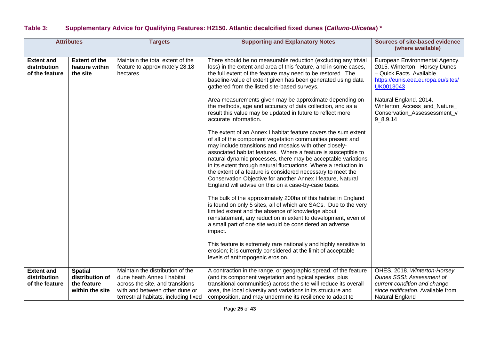## **Table 3: Supplementary Advice for Qualifying Features: H2150. Atlantic decalcified fixed dunes (***Calluno-Ulicetea***) \***

| <b>Attributes</b>                                   |                                                                     | <b>Targets</b>                                                                                                                                                                | <b>Supporting and Explanatory Notes</b>                                                                                                                                                                                                                                                                                                                                                                                                                                                                                                                                                                                                                                                                                                                                                                                                                                                                                                                                                                                                                                                                                                                                                                                                                                                                                                                                                                                                                                                                                                                                                                                                 | Sources of site-based evidence<br>(where available)                                                                                                                                                                                                   |
|-----------------------------------------------------|---------------------------------------------------------------------|-------------------------------------------------------------------------------------------------------------------------------------------------------------------------------|-----------------------------------------------------------------------------------------------------------------------------------------------------------------------------------------------------------------------------------------------------------------------------------------------------------------------------------------------------------------------------------------------------------------------------------------------------------------------------------------------------------------------------------------------------------------------------------------------------------------------------------------------------------------------------------------------------------------------------------------------------------------------------------------------------------------------------------------------------------------------------------------------------------------------------------------------------------------------------------------------------------------------------------------------------------------------------------------------------------------------------------------------------------------------------------------------------------------------------------------------------------------------------------------------------------------------------------------------------------------------------------------------------------------------------------------------------------------------------------------------------------------------------------------------------------------------------------------------------------------------------------------|-------------------------------------------------------------------------------------------------------------------------------------------------------------------------------------------------------------------------------------------------------|
| <b>Extent and</b><br>distribution<br>of the feature | <b>Extent of the</b><br>feature within<br>the site                  | Maintain the total extent of the<br>feature to approximately 28.18<br>hectares                                                                                                | There should be no measurable reduction (excluding any trivial<br>loss) in the extent and area of this feature, and in some cases,<br>the full extent of the feature may need to be restored. The<br>baseline-value of extent given has been generated using data<br>gathered from the listed site-based surveys.<br>Area measurements given may be approximate depending on<br>the methods, age and accuracy of data collection, and as a<br>result this value may be updated in future to reflect more<br>accurate information.<br>The extent of an Annex I habitat feature covers the sum extent<br>of all of the component vegetation communities present and<br>may include transitions and mosaics with other closely-<br>associated habitat features. Where a feature is susceptible to<br>natural dynamic processes, there may be acceptable variations<br>in its extent through natural fluctuations. Where a reduction in<br>the extent of a feature is considered necessary to meet the<br>Conservation Objective for another Annex I feature, Natural<br>England will advise on this on a case-by-case basis.<br>The bulk of the approximately 200ha of this habitat in England<br>is found on only 5 sites, all of which are SACs. Due to the very<br>limited extent and the absence of knowledge about<br>reinstatement, any reduction in extent to development, even of<br>a small part of one site would be considered an adverse<br>impact.<br>This feature is extremely rare nationally and highly sensitive to<br>erosion; it is currently considered at the limit of acceptable<br>levels of anthropogenic erosion. | European Environmental Agency.<br>2015. Winterton - Horsey Dunes<br>- Quick Facts. Available<br>https://eunis.eea.europa.eu/sites/<br>UK0013043<br>Natural England. 2014.<br>Winterton_Access_and_Nature_<br>Conservation_Assessessment_v<br>9_8.9.14 |
| <b>Extent and</b><br>distribution<br>of the feature | <b>Spatial</b><br>distribution of<br>the feature<br>within the site | Maintain the distribution of the<br>dune heath Annex I habitat<br>across the site, and transitions<br>with and between other dune or<br>terrestrial habitats, including fixed | A contraction in the range, or geographic spread, of the feature<br>(and its component vegetation and typical species, plus<br>transitional communities) across the site will reduce its overall<br>area, the local diversity and variations in its structure and<br>composition, and may undermine its resilience to adapt to                                                                                                                                                                                                                                                                                                                                                                                                                                                                                                                                                                                                                                                                                                                                                                                                                                                                                                                                                                                                                                                                                                                                                                                                                                                                                                          | OHES. 2018. Winterton-Horsey<br>Dunes SSSI: Assessment of<br>current condition and change<br>since notification. Available from<br>Natural England                                                                                                    |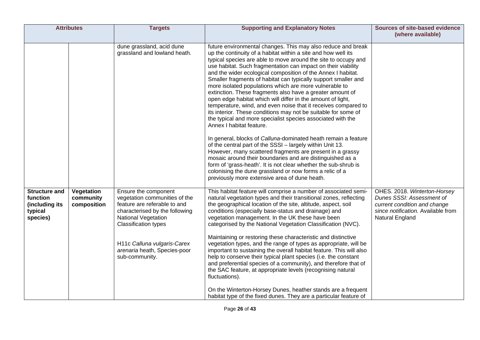| <b>Attributes</b>                                                         |                                        | <b>Targets</b>                                                                                                                                                                                                                                                 | <b>Supporting and Explanatory Notes</b>                                                                                                                                                                                                                                                                                                                                                                                                                                                                                                                                                                                                                                                                                                                                                                                                                                                                                                                                                                                                                                                                                                                                                                                                                         | <b>Sources of site-based evidence</b><br>(where available)                                                                                         |
|---------------------------------------------------------------------------|----------------------------------------|----------------------------------------------------------------------------------------------------------------------------------------------------------------------------------------------------------------------------------------------------------------|-----------------------------------------------------------------------------------------------------------------------------------------------------------------------------------------------------------------------------------------------------------------------------------------------------------------------------------------------------------------------------------------------------------------------------------------------------------------------------------------------------------------------------------------------------------------------------------------------------------------------------------------------------------------------------------------------------------------------------------------------------------------------------------------------------------------------------------------------------------------------------------------------------------------------------------------------------------------------------------------------------------------------------------------------------------------------------------------------------------------------------------------------------------------------------------------------------------------------------------------------------------------|----------------------------------------------------------------------------------------------------------------------------------------------------|
|                                                                           |                                        | dune grassland, acid dune<br>grassland and lowland heath.                                                                                                                                                                                                      | future environmental changes. This may also reduce and break<br>up the continuity of a habitat within a site and how well its<br>typical species are able to move around the site to occupy and<br>use habitat. Such fragmentation can impact on their viability<br>and the wider ecological composition of the Annex I habitat.<br>Smaller fragments of habitat can typically support smaller and<br>more isolated populations which are more vulnerable to<br>extinction. These fragments also have a greater amount of<br>open edge habitat which will differ in the amount of light,<br>temperature, wind, and even noise that it receives compared to<br>its interior. These conditions may not be suitable for some of<br>the typical and more specialist species associated with the<br>Annex I habitat feature.<br>In general, blocks of Calluna-dominated heath remain a feature<br>of the central part of the SSSI - largely within Unit 13.<br>However, many scattered fragments are present in a grassy<br>mosaic around their boundaries and are distinguished as a<br>form of 'grass-heath'. It is not clear whether the sub-shrub is<br>colonising the dune grassland or now forms a relic of a<br>previously more extensive area of dune heath. |                                                                                                                                                    |
| <b>Structure and</b><br>function<br>(including its<br>typical<br>species) | Vegetation<br>community<br>composition | Ensure the component<br>vegetation communities of the<br>feature are referable to and<br>characterised by the following<br>National Vegetation<br><b>Classification types</b><br>H11c Calluna vulgaris-Carex<br>arenaria heath, Species-poor<br>sub-community. | This habitat feature will comprise a number of associated semi-<br>natural vegetation types and their transitional zones, reflecting<br>the geographical location of the site, altitude, aspect, soil<br>conditions (especially base-status and drainage) and<br>vegetation management. In the UK these have been<br>categorised by the National Vegetation Classification (NVC).<br>Maintaining or restoring these characteristic and distinctive<br>vegetation types, and the range of types as appropriate, will be<br>important to sustaining the overall habitat feature. This will also<br>help to conserve their typical plant species (i.e. the constant<br>and preferential species of a community), and therefore that of<br>the SAC feature, at appropriate levels (recognising natural<br>fluctuations).<br>On the Winterton-Horsey Dunes, heather stands are a frequent<br>habitat type of the fixed dunes. They are a particular feature of                                                                                                                                                                                                                                                                                                       | OHES. 2018. Winterton-Horsey<br>Dunes SSSI: Assessment of<br>current condition and change<br>since notification. Available from<br>Natural England |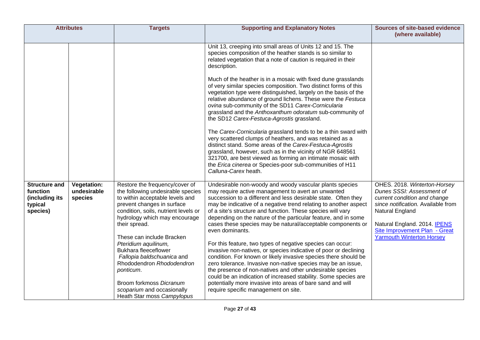|                                                                           | <b>Attributes</b>                            | <b>Targets</b>                                                                                                                                                                                                                                                                                                                                                                                                                                                                    | <b>Supporting and Explanatory Notes</b>                                                                                                                                                                                                                                                                                                                                                                                                                                                                                                                                                                                                                                                                                                                                                                                                                                                                                                                                                                                                                    | <b>Sources of site-based evidence</b><br>(where available)                                                                                                                                                                                              |
|---------------------------------------------------------------------------|----------------------------------------------|-----------------------------------------------------------------------------------------------------------------------------------------------------------------------------------------------------------------------------------------------------------------------------------------------------------------------------------------------------------------------------------------------------------------------------------------------------------------------------------|------------------------------------------------------------------------------------------------------------------------------------------------------------------------------------------------------------------------------------------------------------------------------------------------------------------------------------------------------------------------------------------------------------------------------------------------------------------------------------------------------------------------------------------------------------------------------------------------------------------------------------------------------------------------------------------------------------------------------------------------------------------------------------------------------------------------------------------------------------------------------------------------------------------------------------------------------------------------------------------------------------------------------------------------------------|---------------------------------------------------------------------------------------------------------------------------------------------------------------------------------------------------------------------------------------------------------|
|                                                                           |                                              |                                                                                                                                                                                                                                                                                                                                                                                                                                                                                   | Unit 13, creeping into small areas of Units 12 and 15. The<br>species composition of the heather stands is so similar to<br>related vegetation that a note of caution is required in their<br>description.<br>Much of the heather is in a mosaic with fixed dune grasslands<br>of very similar species composition. Two distinct forms of this<br>vegetation type were distinguished, largely on the basis of the<br>relative abundance of ground lichens. These were the Festuca<br>ovina sub-community of the SD11 Carex-Cornicularia<br>grassland and the Anthoxanthum odoratum sub-community of<br>the SD12 Carex-Festuca-Agrostis grassland.<br>The Carex-Cornicularia grassland tends to be a thin sward with<br>very scattered clumps of heathers, and was retained as a<br>distinct stand. Some areas of the Carex-Festuca-Agrostis<br>grassland, however, such as in the vicinity of NGR 648561<br>321700, are best viewed as forming an intimate mosaic with<br>the Erica cinerea or Species-poor sub-communities of H11<br>Calluna-Carex heath. |                                                                                                                                                                                                                                                         |
| <b>Structure and</b><br>function<br>(including its<br>typical<br>species) | <b>Vegetation:</b><br>undesirable<br>species | Restore the frequency/cover of<br>the following undesirable species<br>to within acceptable levels and<br>prevent changes in surface<br>condition, soils, nutrient levels or<br>hydrology which may encourage<br>their spread.<br>These can include Bracken<br>Pteridium aquilinum,<br><b>Bukhara fleeceflower</b><br>Fallopia baldschuanica and<br>Rhododendron Rhododendron<br>ponticum.<br>Broom forkmoss Dicranum<br>scoparium and occasionally<br>Heath Star moss Campylopus | Undesirable non-woody and woody vascular plants species<br>may require active management to avert an unwanted<br>succession to a different and less desirable state. Often they<br>may be indicative of a negative trend relating to another aspect<br>of a site's structure and function. These species will vary<br>depending on the nature of the particular feature, and in some<br>cases these species may be natural/acceptable components or<br>even dominants.<br>For this feature, two types of negative species can occur:<br>invasive non-natives, or species indicative of poor or declining<br>condition. For known or likely invasive species there should be<br>zero tolerance. Invasive non-native species may be an issue,<br>the presence of non-natives and other undesirable species<br>could be an indication of increased stability. Some species are<br>potentially more invasive into areas of bare sand and will<br>require specific management on site.                                                                          | OHES. 2018. Winterton-Horsey<br>Dunes SSSI: Assessment of<br>current condition and change<br>since notification. Available from<br>Natural England<br>Natural England. 2014. IPENS<br>Site Improvement Plan - Great<br><b>Yarmouth Winterton Horsey</b> |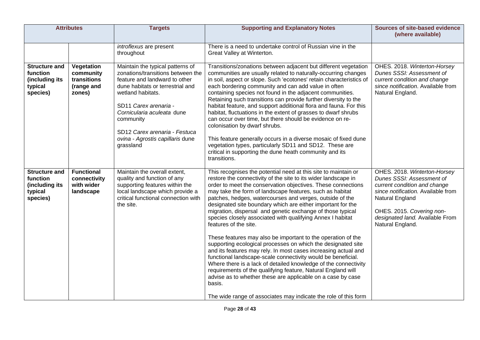| <b>Attributes</b>                                                         |                                                                | <b>Targets</b>                                                                                                                                                                                                                                                                                                        | <b>Supporting and Explanatory Notes</b>                                                                                                                                                                                                                                                                                                                                                                                                                                                                                                                                                                                                                                                                                                                                                                                                                                                                                                                                                                                                                                                       | <b>Sources of site-based evidence</b><br>(where available)                                                                                                                                                                             |
|---------------------------------------------------------------------------|----------------------------------------------------------------|-----------------------------------------------------------------------------------------------------------------------------------------------------------------------------------------------------------------------------------------------------------------------------------------------------------------------|-----------------------------------------------------------------------------------------------------------------------------------------------------------------------------------------------------------------------------------------------------------------------------------------------------------------------------------------------------------------------------------------------------------------------------------------------------------------------------------------------------------------------------------------------------------------------------------------------------------------------------------------------------------------------------------------------------------------------------------------------------------------------------------------------------------------------------------------------------------------------------------------------------------------------------------------------------------------------------------------------------------------------------------------------------------------------------------------------|----------------------------------------------------------------------------------------------------------------------------------------------------------------------------------------------------------------------------------------|
|                                                                           |                                                                | introflexus are present<br>throughout                                                                                                                                                                                                                                                                                 | There is a need to undertake control of Russian vine in the<br>Great Valley at Winterton.                                                                                                                                                                                                                                                                                                                                                                                                                                                                                                                                                                                                                                                                                                                                                                                                                                                                                                                                                                                                     |                                                                                                                                                                                                                                        |
| <b>Structure and</b><br>function<br>(including its<br>typical<br>species) | Vegetation<br>community<br>transitions<br>(range and<br>zones) | Maintain the typical patterns of<br>zonations/transitions between the<br>feature and landward to other<br>dune habitats or terrestrial and<br>wetland habitats.<br>SD11 Carex arenaria -<br>Cornicularia aculeata dune<br>community<br>SD12 Carex arenaria - Festuca<br>ovina - Agrostis capillaris dune<br>grassland | Transitions/zonations between adjacent but different vegetation<br>communities are usually related to naturally-occurring changes<br>in soil, aspect or slope. Such 'ecotones' retain characteristics of<br>each bordering community and can add value in often<br>containing species not found in the adjacent communities.<br>Retaining such transitions can provide further diversity to the<br>habitat feature, and support additional flora and fauna. For this<br>habitat, fluctuations in the extent of grasses to dwarf shrubs<br>can occur over time, but there should be evidence on re-<br>colonisation by dwarf shrubs.<br>This feature generally occurs in a diverse mosaic of fixed dune<br>vegetation types, particularly SD11 and SD12. These are<br>critical in supporting the dune heath community and its<br>transitions.                                                                                                                                                                                                                                                  | OHES. 2018. Winterton-Horsey<br>Dunes SSSI: Assessment of<br>current condition and change<br>since notification. Available from<br>Natural England.                                                                                    |
| <b>Structure and</b><br>function<br>(including its<br>typical<br>species) | <b>Functional</b><br>connectivity<br>with wider<br>landscape   | Maintain the overall extent,<br>quality and function of any<br>supporting features within the<br>local landscape which provide a<br>critical functional connection with<br>the site.                                                                                                                                  | This recognises the potential need at this site to maintain or<br>restore the connectivity of the site to its wider landscape in<br>order to meet the conservation objectives. These connections<br>may take the form of landscape features, such as habitat<br>patches, hedges, watercourses and verges, outside of the<br>designated site boundary which are either important for the<br>migration, dispersal and genetic exchange of those typical<br>species closely associated with qualifying Annex I habitat<br>features of the site.<br>These features may also be important to the operation of the<br>supporting ecological processes on which the designated site<br>and its features may rely. In most cases increasing actual and<br>functional landscape-scale connectivity would be beneficial.<br>Where there is a lack of detailed knowledge of the connectivity<br>requirements of the qualifying feature, Natural England will<br>advise as to whether these are applicable on a case by case<br>basis.<br>The wide range of associates may indicate the role of this form | OHES. 2018. Winterton-Horsey<br>Dunes SSSI: Assessment of<br>current condition and change<br>since notification. Available from<br>Natural England<br>OHES. 2015. Covering non-<br>designated land. Available From<br>Natural England. |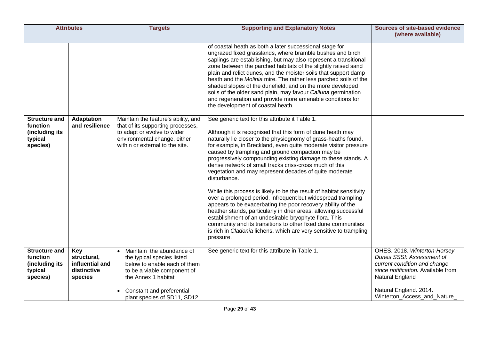| <b>Attributes</b>                                                         |                                                                 | <b>Targets</b>                                                                                                                                                                                              | <b>Supporting and Explanatory Notes</b>                                                                                                                                                                                                                                                                                                                                                                                                                                                                                                                                                                                                                                                                                                                                                                                                                                                                                                                                                                                                                                                                                                                                                                                                                                                                                                                                                                                                                                                                                                                                                                                                | <b>Sources of site-based evidence</b><br>(where available)                                                                                                                                                   |
|---------------------------------------------------------------------------|-----------------------------------------------------------------|-------------------------------------------------------------------------------------------------------------------------------------------------------------------------------------------------------------|----------------------------------------------------------------------------------------------------------------------------------------------------------------------------------------------------------------------------------------------------------------------------------------------------------------------------------------------------------------------------------------------------------------------------------------------------------------------------------------------------------------------------------------------------------------------------------------------------------------------------------------------------------------------------------------------------------------------------------------------------------------------------------------------------------------------------------------------------------------------------------------------------------------------------------------------------------------------------------------------------------------------------------------------------------------------------------------------------------------------------------------------------------------------------------------------------------------------------------------------------------------------------------------------------------------------------------------------------------------------------------------------------------------------------------------------------------------------------------------------------------------------------------------------------------------------------------------------------------------------------------------|--------------------------------------------------------------------------------------------------------------------------------------------------------------------------------------------------------------|
| <b>Structure and</b><br>function<br>(including its<br>typical<br>species) | <b>Adaptation</b><br>and resilience                             | Maintain the feature's ability, and<br>that of its supporting processes,<br>to adapt or evolve to wider<br>environmental change, either<br>within or external to the site.                                  | of coastal heath as both a later successional stage for<br>ungrazed fixed grasslands, where bramble bushes and birch<br>saplings are establishing, but may also represent a transitional<br>zone between the parched habitats of the slightly raised sand<br>plain and relict dunes, and the moister soils that support damp<br>heath and the Molinia mire. The rather less parched soils of the<br>shaded slopes of the dunefield, and on the more developed<br>soils of the older sand plain, may favour Calluna germination<br>and regeneration and provide more amenable conditions for<br>the development of coastal heath.<br>See generic text for this attribute it Table 1.<br>Although it is recognised that this form of dune heath may<br>naturally lie closer to the physiognomy of grass-heaths found,<br>for example, in Breckland, even quite moderate visitor pressure<br>caused by trampling and ground compaction may be<br>progressively compounding existing damage to these stands. A<br>dense network of small tracks criss-cross much of this<br>vegetation and may represent decades of quite moderate<br>disturbance.<br>While this process is likely to be the result of habitat sensitivity<br>over a prolonged period, infrequent but widespread trampling<br>appears to be exacerbating the poor recovery ability of the<br>heather stands, particularly in drier areas, allowing successful<br>establishment of an undesirable bryophyte flora. This<br>community and its transitions to other fixed dune communities<br>is rich in Cladonia lichens, which are very sensitive to trampling<br>pressure. |                                                                                                                                                                                                              |
| <b>Structure and</b><br>function<br>(including its<br>typical<br>species) | Key<br>structural,<br>influential and<br>distinctive<br>species | • Maintain the abundance of<br>the typical species listed<br>below to enable each of them<br>to be a viable component of<br>the Annex 1 habitat<br>Constant and preferential<br>plant species of SD11, SD12 | See generic text for this attribute in Table 1.                                                                                                                                                                                                                                                                                                                                                                                                                                                                                                                                                                                                                                                                                                                                                                                                                                                                                                                                                                                                                                                                                                                                                                                                                                                                                                                                                                                                                                                                                                                                                                                        | OHES. 2018. Winterton-Horsey<br>Dunes SSSI: Assessment of<br>current condition and change<br>since notification. Available from<br>Natural England<br>Natural England. 2014.<br>Winterton_Access_and_Nature_ |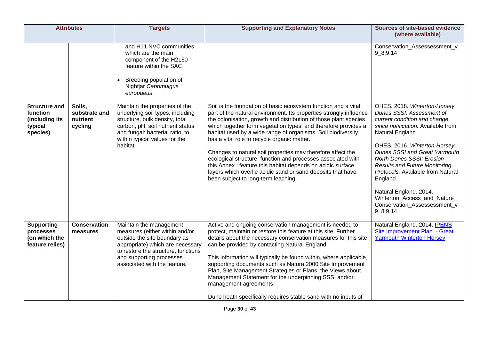| <b>Attributes</b>                                                         |                                                | <b>Targets</b>                                                                                                                                                                                                                   | <b>Supporting and Explanatory Notes</b>                                                                                                                                                                                                                                                                                                                                                                                                                                                                                                                                                                                                                                                       | <b>Sources of site-based evidence</b><br>(where available)                                                                                                                                                                                                                                                                                                                                                                                            |
|---------------------------------------------------------------------------|------------------------------------------------|----------------------------------------------------------------------------------------------------------------------------------------------------------------------------------------------------------------------------------|-----------------------------------------------------------------------------------------------------------------------------------------------------------------------------------------------------------------------------------------------------------------------------------------------------------------------------------------------------------------------------------------------------------------------------------------------------------------------------------------------------------------------------------------------------------------------------------------------------------------------------------------------------------------------------------------------|-------------------------------------------------------------------------------------------------------------------------------------------------------------------------------------------------------------------------------------------------------------------------------------------------------------------------------------------------------------------------------------------------------------------------------------------------------|
|                                                                           |                                                | and H11 NVC communities<br>which are the main<br>component of the H2150<br>feature within the SAC<br>Breeding population of<br>Nightjar Caprimulgus<br>europaeus                                                                 |                                                                                                                                                                                                                                                                                                                                                                                                                                                                                                                                                                                                                                                                                               | Conservation_Assessessment_v<br>9 8.9.14                                                                                                                                                                                                                                                                                                                                                                                                              |
| <b>Structure and</b><br>function<br>(including its<br>typical<br>species) | Soils,<br>substrate and<br>nutrient<br>cycling | Maintain the properties of the<br>underlying soil types, including<br>structure, bulk density, total<br>carbon, pH, soil nutrient status<br>and fungal: bacterial ratio, to<br>within typical values for the<br>habitat.         | Soil is the foundation of basic ecosystem function and a vital<br>part of the natural environment. Its properties strongly influence<br>the colonisation, growth and distribution of those plant species<br>which together form vegetation types, and therefore provides a<br>habitat used by a wide range of organisms. Soil biodiversity<br>has a vital role to recycle organic matter.<br>Changes to natural soil properties may therefore affect the<br>ecological structure, function and processes associated with<br>this Annex I feature this habitat depends on acidic surface<br>layers which overlie acidic sand or sand deposits that have<br>been subject to long-term leaching. | OHES. 2018. Winterton-Horsey<br>Dunes SSSI: Assessment of<br>current condition and change<br>since notification. Available from<br>Natural England<br>OHES. 2016. Winterton-Horsey<br><b>Dunes SSSI and Great Yarmouth</b><br>North Denes SSSI: Erosion<br><b>Results and Future Monitoring</b><br>Protocols. Available from Natural<br>England<br>Natural England. 2014.<br>Winterton_Access_and_Nature_<br>Conservation_Assessessment_v<br>9 8.9.14 |
| <b>Supporting</b><br>processes<br>(on which the<br>feature relies)        | <b>Conservation</b><br>measures                | Maintain the management<br>measures (either within and/or<br>outside the site boundary as<br>appropriate) which are necessary<br>to restore the structure, functions<br>and supporting processes<br>associated with the feature. | Active and ongoing conservation management is needed to<br>protect, maintain or restore this feature at this site. Further<br>details about the necessary conservation measures for this site<br>can be provided by contacting Natural England.<br>This information will typically be found within, where applicable,<br>supporting documents such as Natura 2000 Site Improvement<br>Plan, Site Management Strategies or Plans, the Views about<br>Management Statement for the underpinning SSSI and/or<br>management agreements.<br>Dune heath specifically requires stable sand with no inputs of                                                                                         | Natural England. 2014. IPENS<br>Site Improvement Plan - Great<br><b>Yarmouth Winterton Horsey</b>                                                                                                                                                                                                                                                                                                                                                     |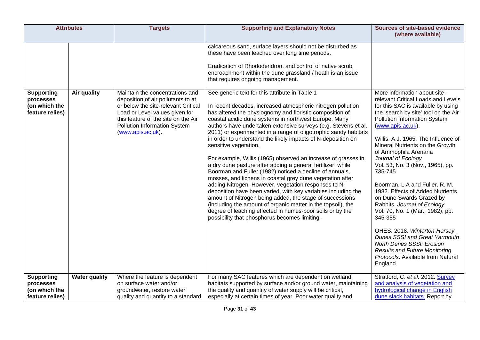| <b>Attributes</b>                                                  |                      | <b>Targets</b>                                                                                                                                                                                                        | <b>Supporting and Explanatory Notes</b>                                                                                                                                                                                                                                                                                                                                                                                                                                                                                                                                                                                                                                                                                                                                             | <b>Sources of site-based evidence</b><br>(where available)                                                                                                                                                                                                                                                                                                                                                                                                                                                                                 |
|--------------------------------------------------------------------|----------------------|-----------------------------------------------------------------------------------------------------------------------------------------------------------------------------------------------------------------------|-------------------------------------------------------------------------------------------------------------------------------------------------------------------------------------------------------------------------------------------------------------------------------------------------------------------------------------------------------------------------------------------------------------------------------------------------------------------------------------------------------------------------------------------------------------------------------------------------------------------------------------------------------------------------------------------------------------------------------------------------------------------------------------|--------------------------------------------------------------------------------------------------------------------------------------------------------------------------------------------------------------------------------------------------------------------------------------------------------------------------------------------------------------------------------------------------------------------------------------------------------------------------------------------------------------------------------------------|
| <b>Supporting</b><br>processes<br>(on which the<br>feature relies) | Air quality          | Maintain the concentrations and<br>deposition of air pollutants to at<br>or below the site-relevant Critical<br>Load or Level values given for<br>this feature of the site on the Air<br>Pollution Information System | calcareous sand, surface layers should not be disturbed as<br>these have been leached over long time periods.<br>Eradication of Rhododendron, and control of native scrub<br>encroachment within the dune grassland / heath is an issue<br>that requires ongoing management.<br>See generic text for this attribute in Table 1<br>In recent decades, increased atmospheric nitrogen pollution<br>has altered the physiognomy and floristic composition of<br>coastal acidic dune systems in northwest Europe. Many<br>authors have undertaken extensive surveys (e.g. Stevens et al.                                                                                                                                                                                                | More information about site-<br>relevant Critical Loads and Levels<br>for this SAC is available by using<br>the 'search by site' tool on the Air<br>Pollution Information System<br>(www.apis.ac.uk).                                                                                                                                                                                                                                                                                                                                      |
|                                                                    |                      | (www.apis.ac.uk).                                                                                                                                                                                                     | 2011) or experimented in a range of oligotrophic sandy habitats<br>in order to understand the likely impacts of N-deposition on<br>sensitive vegetation.<br>For example, Willis (1965) observed an increase of grasses in<br>a dry dune pasture after adding a general fertilizer, while<br>Boorman and Fuller (1982) noticed a decline of annuals,<br>mosses, and lichens in coastal grey dune vegetation after<br>adding Nitrogen. However, vegetation responses to N-<br>deposition have been varied, with key variables including the<br>amount of Nitrogen being added, the stage of successions<br>(including the amount of organic matter in the topsoil), the<br>degree of leaching effected in humus-poor soils or by the<br>possibility that phosphorus becomes limiting. | Willis. A.J. 1965. The Influence of<br>Mineral Nutrients on the Growth<br>of Ammophila Arenaria<br>Journal of Ecology<br>Vol. 53, No. 3 (Nov., 1965), pp.<br>735-745<br>Boorman. L.A and Fuller. R. M.<br>1982. Effects of Added Nutrients<br>on Dune Swards Grazed by<br>Rabbits. Journal of Ecology<br>Vol. 70, No. 1 (Mar., 1982), pp.<br>345-355<br>OHES. 2018. Winterton-Horsey<br>Dunes SSSI and Great Yarmouth<br>North Denes SSSI: Erosion<br><b>Results and Future Monitoring</b><br>Protocols. Available from Natural<br>England |
| <b>Supporting</b><br>processes                                     | <b>Water quality</b> | Where the feature is dependent<br>on surface water and/or                                                                                                                                                             | For many SAC features which are dependent on wetland<br>habitats supported by surface and/or ground water, maintaining                                                                                                                                                                                                                                                                                                                                                                                                                                                                                                                                                                                                                                                              | Stratford, C. et al. 2012. Survey<br>and analysis of vegetation and                                                                                                                                                                                                                                                                                                                                                                                                                                                                        |
| (on which the<br>feature relies)                                   |                      | groundwater, restore water<br>quality and quantity to a standard                                                                                                                                                      | the quality and quantity of water supply will be critical,<br>especially at certain times of year. Poor water quality and                                                                                                                                                                                                                                                                                                                                                                                                                                                                                                                                                                                                                                                           | hydrological change in English<br>dune slack habitats. Report by                                                                                                                                                                                                                                                                                                                                                                                                                                                                           |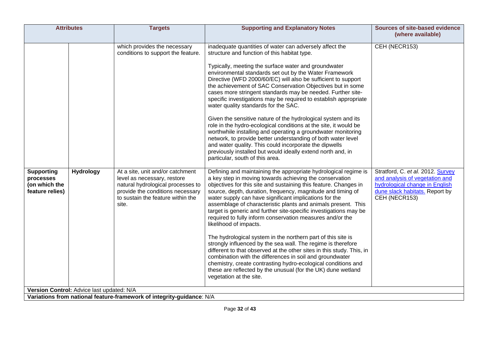|                                                                    | <b>Attributes</b>                         | <b>Targets</b>                                                                                                                                                                         | <b>Supporting and Explanatory Notes</b>                                                                                                                                                                                                                                                                                                                                                                                                                                                                                                                                                                                                                                                                                                                                                                                                                                                                                           | <b>Sources of site-based evidence</b><br>(where available)                                                                                               |
|--------------------------------------------------------------------|-------------------------------------------|----------------------------------------------------------------------------------------------------------------------------------------------------------------------------------------|-----------------------------------------------------------------------------------------------------------------------------------------------------------------------------------------------------------------------------------------------------------------------------------------------------------------------------------------------------------------------------------------------------------------------------------------------------------------------------------------------------------------------------------------------------------------------------------------------------------------------------------------------------------------------------------------------------------------------------------------------------------------------------------------------------------------------------------------------------------------------------------------------------------------------------------|----------------------------------------------------------------------------------------------------------------------------------------------------------|
|                                                                    |                                           | which provides the necessary<br>conditions to support the feature.                                                                                                                     | inadequate quantities of water can adversely affect the<br>structure and function of this habitat type.<br>Typically, meeting the surface water and groundwater<br>environmental standards set out by the Water Framework<br>Directive (WFD 2000/60/EC) will also be sufficient to support<br>the achievement of SAC Conservation Objectives but in some<br>cases more stringent standards may be needed. Further site-<br>specific investigations may be required to establish appropriate<br>water quality standards for the SAC.<br>Given the sensitive nature of the hydrological system and its<br>role in the hydro-ecological conditions at the site, it would be<br>worthwhile installing and operating a groundwater monitoring<br>network, to provide better understanding of both water level<br>and water quality. This could incorporate the dipwells<br>previously installed but would ideally extend north and, in | CEH (NECR153)                                                                                                                                            |
| <b>Supporting</b><br>processes<br>(on which the<br>feature relies) | <b>Hydrology</b>                          | At a site, unit and/or catchment<br>level as necessary, restore<br>natural hydrological processes to<br>provide the conditions necessary<br>to sustain the feature within the<br>site. | particular, south of this area.<br>Defining and maintaining the appropriate hydrological regime is<br>a key step in moving towards achieving the conservation<br>objectives for this site and sustaining this feature. Changes in<br>source, depth, duration, frequency, magnitude and timing of<br>water supply can have significant implications for the<br>assemblage of characteristic plants and animals present. This<br>target is generic and further site-specific investigations may be<br>required to fully inform conservation measures and/or the<br>likelihood of impacts.<br>The hydrological system in the northern part of this site is<br>strongly influenced by the sea wall. The regime is therefore                                                                                                                                                                                                           | Stratford, C. et al. 2012. Survey<br>and analysis of vegetation and<br>hydrological change in English<br>dune slack habitats. Report by<br>CEH (NECR153) |
|                                                                    | Version Control: Advice last updated: N/A | Variations from national feature-framework of integrity-guidance: N/A                                                                                                                  | different to that observed at the other sites in this study. This, in<br>combination with the differences in soil and groundwater<br>chemistry, create contrasting hydro-ecological conditions and<br>these are reflected by the unusual (for the UK) dune wetland<br>vegetation at the site.                                                                                                                                                                                                                                                                                                                                                                                                                                                                                                                                                                                                                                     |                                                                                                                                                          |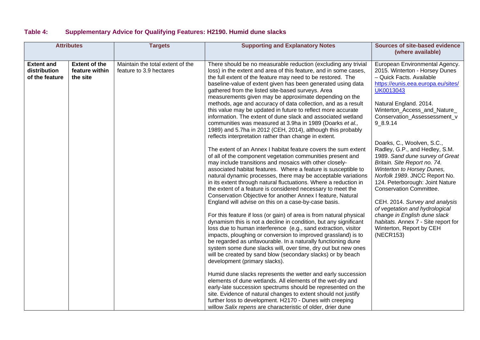### **Table 4: Supplementary Advice for Qualifying Features: H2190. Humid dune slacks**

|                                                     | <b>Attributes</b>                                  | <b>Targets</b>                                              | <b>Supporting and Explanatory Notes</b>                                                                                                                                                                                                                                                                                                                                                                                                                                                                                                                                                                                                                                                                                                                                                                                                                                                                                                                                                                                                                                                                                                                                                                                                                                                                                                                                                                                                                                                                                                                                                                                                                                                                                                                                                                                                                                                                                                                                                                                                                                                                                                                                                                                                                                  | <b>Sources of site-based evidence</b><br>(where available)                                                                                                                                                                                                                                                                                                                                                                                                                                                                                                                                                                                                                                                         |
|-----------------------------------------------------|----------------------------------------------------|-------------------------------------------------------------|--------------------------------------------------------------------------------------------------------------------------------------------------------------------------------------------------------------------------------------------------------------------------------------------------------------------------------------------------------------------------------------------------------------------------------------------------------------------------------------------------------------------------------------------------------------------------------------------------------------------------------------------------------------------------------------------------------------------------------------------------------------------------------------------------------------------------------------------------------------------------------------------------------------------------------------------------------------------------------------------------------------------------------------------------------------------------------------------------------------------------------------------------------------------------------------------------------------------------------------------------------------------------------------------------------------------------------------------------------------------------------------------------------------------------------------------------------------------------------------------------------------------------------------------------------------------------------------------------------------------------------------------------------------------------------------------------------------------------------------------------------------------------------------------------------------------------------------------------------------------------------------------------------------------------------------------------------------------------------------------------------------------------------------------------------------------------------------------------------------------------------------------------------------------------------------------------------------------------------------------------------------------------|--------------------------------------------------------------------------------------------------------------------------------------------------------------------------------------------------------------------------------------------------------------------------------------------------------------------------------------------------------------------------------------------------------------------------------------------------------------------------------------------------------------------------------------------------------------------------------------------------------------------------------------------------------------------------------------------------------------------|
| <b>Extent and</b><br>distribution<br>of the feature | <b>Extent of the</b><br>feature within<br>the site | Maintain the total extent of the<br>feature to 3.9 hectares | There should be no measurable reduction (excluding any trivial<br>loss) in the extent and area of this feature, and in some cases,<br>the full extent of the feature may need to be restored. The<br>baseline-value of extent given has been generated using data<br>gathered from the listed site-based surveys. Area<br>measurements given may be approximate depending on the<br>methods, age and accuracy of data collection, and as a result<br>this value may be updated in future to reflect more accurate<br>information. The extent of dune slack and associated wetland<br>communities was measured at 3.9ha in 1989 (Doarks et al.,<br>1989) and 5.7ha in 2012 (CEH, 2014), although this probably<br>reflects interpretation rather than change in extent.<br>The extent of an Annex I habitat feature covers the sum extent<br>of all of the component vegetation communities present and<br>may include transitions and mosaics with other closely-<br>associated habitat features. Where a feature is susceptible to<br>natural dynamic processes, there may be acceptable variations<br>in its extent through natural fluctuations. Where a reduction in<br>the extent of a feature is considered necessary to meet the<br>Conservation Objective for another Annex I feature, Natural<br>England will advise on this on a case-by-case basis.<br>For this feature if loss (or gain) of area is from natural physical<br>dynamism this is not a decline in condition, but any significant<br>loss due to human interference (e.g., sand extraction, visitor<br>impacts, ploughing or conversion to improved grassland) is to<br>be regarded as unfavourable. In a naturally functioning dune<br>system some dune slacks will, over time, dry out but new ones<br>will be created by sand blow (secondary slacks) or by beach<br>development (primary slacks).<br>Humid dune slacks represents the wetter and early succession<br>elements of dune wetlands. All elements of the wet-dry and<br>early-late succession spectrums should be represented on the<br>site. Evidence of natural changes to extent should not justify<br>further loss to development. H2170 - Dunes with creeping<br>willow Salix repens are characteristic of older, drier dune | European Environmental Agency.<br>2015. Winterton - Horsey Dunes<br>- Quick Facts. Available<br>https://eunis.eea.europa.eu/sites/<br>UK0013043<br>Natural England. 2014.<br>Winterton_Access_and_Nature_<br>Conservation Assessessment v<br>$9_8.9.14$<br>Doarks, C., Woolven, S.C.,<br>Radley, G.P., and Hedley, S.M.<br>1989. Sand dune survey of Great<br>Britain. Site Report no. 74.<br>Winterton to Horsey Dunes,<br>Norfolk 1989. JNCC Report No.<br>124. Peterborough: Joint Nature<br><b>Conservation Committee.</b><br>CEH. 2014. Survey and analysis<br>of vegetation and hydrological<br>change in English dune slack<br>habitats. Annex 7 - Site report for<br>Winterton, Report by CEH<br>(NECR153) |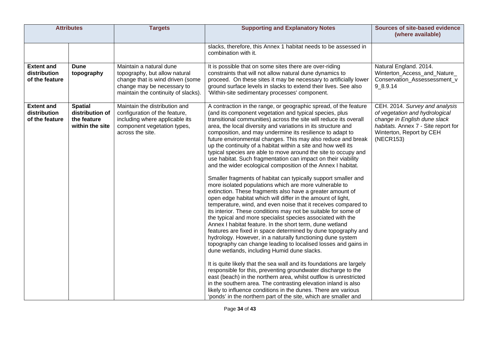|                                                     | <b>Attributes</b>                                                   | <b>Targets</b>                                                                                                                                                    | <b>Supporting and Explanatory Notes</b>                                                                                                                                                                                                                                                                                                                                                                                                                                                                                                                                                                                                                                                                                                                                                                                                                                                                                                                                                                                                                                                                                                                                                                                                                                                                                                                                                                                                                                                                                                                                                                                                                                                                                                                                                                                                                        | <b>Sources of site-based evidence</b><br>(where available)                                                                                                                       |
|-----------------------------------------------------|---------------------------------------------------------------------|-------------------------------------------------------------------------------------------------------------------------------------------------------------------|----------------------------------------------------------------------------------------------------------------------------------------------------------------------------------------------------------------------------------------------------------------------------------------------------------------------------------------------------------------------------------------------------------------------------------------------------------------------------------------------------------------------------------------------------------------------------------------------------------------------------------------------------------------------------------------------------------------------------------------------------------------------------------------------------------------------------------------------------------------------------------------------------------------------------------------------------------------------------------------------------------------------------------------------------------------------------------------------------------------------------------------------------------------------------------------------------------------------------------------------------------------------------------------------------------------------------------------------------------------------------------------------------------------------------------------------------------------------------------------------------------------------------------------------------------------------------------------------------------------------------------------------------------------------------------------------------------------------------------------------------------------------------------------------------------------------------------------------------------------|----------------------------------------------------------------------------------------------------------------------------------------------------------------------------------|
|                                                     |                                                                     |                                                                                                                                                                   | slacks, therefore, this Annex 1 habitat needs to be assessed in<br>combination with it.                                                                                                                                                                                                                                                                                                                                                                                                                                                                                                                                                                                                                                                                                                                                                                                                                                                                                                                                                                                                                                                                                                                                                                                                                                                                                                                                                                                                                                                                                                                                                                                                                                                                                                                                                                        |                                                                                                                                                                                  |
| <b>Extent and</b><br>distribution<br>of the feature | Dune<br>topography                                                  | Maintain a natural dune<br>topography, but allow natural<br>change that is wind driven (some<br>change may be necessary to<br>maintain the continuity of slacks). | It is possible that on some sites there are over-riding<br>constraints that will not allow natural dune dynamics to<br>proceed. On these sites it may be necessary to artificially lower<br>ground surface levels in slacks to extend their lives. See also<br>'Within-site sedimentary processes' component.                                                                                                                                                                                                                                                                                                                                                                                                                                                                                                                                                                                                                                                                                                                                                                                                                                                                                                                                                                                                                                                                                                                                                                                                                                                                                                                                                                                                                                                                                                                                                  | Natural England. 2014.<br>Winterton_Access_and_Nature_<br>Conservation_Assessessment_v<br>$9 - 8.9.14$                                                                           |
| <b>Extent and</b><br>distribution<br>of the feature | <b>Spatial</b><br>distribution of<br>the feature<br>within the site | Maintain the distribution and<br>configuration of the feature,<br>including where applicable its<br>component vegetation types,<br>across the site.               | A contraction in the range, or geographic spread, of the feature<br>(and its component vegetation and typical species, plus<br>transitional communities) across the site will reduce its overall<br>area, the local diversity and variations in its structure and<br>composition, and may undermine its resilience to adapt to<br>future environmental changes. This may also reduce and break<br>up the continuity of a habitat within a site and how well its<br>typical species are able to move around the site to occupy and<br>use habitat. Such fragmentation can impact on their viability<br>and the wider ecological composition of the Annex I habitat.<br>Smaller fragments of habitat can typically support smaller and<br>more isolated populations which are more vulnerable to<br>extinction. These fragments also have a greater amount of<br>open edge habitat which will differ in the amount of light,<br>temperature, wind, and even noise that it receives compared to<br>its interior. These conditions may not be suitable for some of<br>the typical and more specialist species associated with the<br>Annex I habitat feature. In the short term, dune wetland<br>features are fixed in space determined by dune topography and<br>hydrology. However, in a naturally functioning dune system<br>topography can change leading to localised losses and gains in<br>dune wetlands, including Humid dune slacks.<br>It is quite likely that the sea wall and its foundations are largely<br>responsible for this, preventing groundwater discharge to the<br>east (beach) in the northern area, whilst outflow is unrestricted<br>in the southern area. The contrasting elevation inland is also<br>likely to influence conditions in the dunes. There are various<br>'ponds' in the northern part of the site, which are smaller and | CEH. 2014. Survey and analysis<br>of vegetation and hydrological<br>change in English dune slack<br>habitats. Annex 7 - Site report for<br>Winterton, Report by CEH<br>(NECR153) |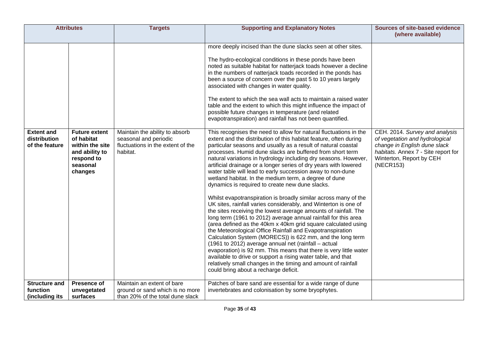| <b>Attributes</b>                                   |                                                                                                              | <b>Targets</b>                                                                                           | <b>Supporting and Explanatory Notes</b>                                                                                                                                                                                                                                                                                                                                                                                                                                                                                                                                                                                                                                                                                                                                                                                                                                                                                                                                                                                                                                                                                                                                                                                                                                                                                                                                                                                                                                                                                                                                                                                                                                                                                                                                                                                                                                                                                                                                                                      | <b>Sources of site-based evidence</b><br>(where available)                                                                                                                       |
|-----------------------------------------------------|--------------------------------------------------------------------------------------------------------------|----------------------------------------------------------------------------------------------------------|--------------------------------------------------------------------------------------------------------------------------------------------------------------------------------------------------------------------------------------------------------------------------------------------------------------------------------------------------------------------------------------------------------------------------------------------------------------------------------------------------------------------------------------------------------------------------------------------------------------------------------------------------------------------------------------------------------------------------------------------------------------------------------------------------------------------------------------------------------------------------------------------------------------------------------------------------------------------------------------------------------------------------------------------------------------------------------------------------------------------------------------------------------------------------------------------------------------------------------------------------------------------------------------------------------------------------------------------------------------------------------------------------------------------------------------------------------------------------------------------------------------------------------------------------------------------------------------------------------------------------------------------------------------------------------------------------------------------------------------------------------------------------------------------------------------------------------------------------------------------------------------------------------------------------------------------------------------------------------------------------------------|----------------------------------------------------------------------------------------------------------------------------------------------------------------------------------|
| <b>Extent and</b><br>distribution<br>of the feature | <b>Future extent</b><br>of habitat<br>within the site<br>and ability to<br>respond to<br>seasonal<br>changes | Maintain the ability to absorb<br>seasonal and periodic<br>fluctuations in the extent of the<br>habitat. | more deeply incised than the dune slacks seen at other sites.<br>The hydro-ecological conditions in these ponds have been<br>noted as suitable habitat for natterjack toads however a decline<br>in the numbers of natterjack toads recorded in the ponds has<br>been a source of concern over the past 5 to 10 years largely<br>associated with changes in water quality.<br>The extent to which the sea wall acts to maintain a raised water<br>table and the extent to which this might influence the impact of<br>possible future changes in temperature (and related<br>evapotranspiration) and rainfall has not been quantified.<br>This recognises the need to allow for natural fluctuations in the<br>extent and the distribution of this habitat feature, often during<br>particular seasons and usually as a result of natural coastal<br>processes. Humid dune slacks are buffered from short term<br>natural variations in hydrology including dry seasons. However,<br>artificial drainage or a longer series of dry years with lowered<br>water table will lead to early succession away to non-dune<br>wetland habitat. In the medium term, a degree of dune<br>dynamics is required to create new dune slacks.<br>Whilst evapotranspiration is broadly similar across many of the<br>UK sites, rainfall varies considerably, and Winterton is one of<br>the sites receiving the lowest average amounts of rainfall. The<br>long term (1961 to 2012) average annual rainfall for this area<br>(area defined as the 40km x 40km grid square calculated using<br>the Meteorological Office Rainfall and Evapotranspiration<br>Calculation System (MORECS)) is 622 mm, and the long term<br>(1961 to 2012) average annual net (rainfall - actual<br>evaporation) is 92 mm. This means that there is very little water<br>available to drive or support a rising water table, and that<br>relatively small changes in the timing and amount of rainfall<br>could bring about a recharge deficit. | CEH. 2014. Survey and analysis<br>of vegetation and hydrological<br>change in English dune slack<br>habitats. Annex 7 - Site report for<br>Winterton, Report by CEH<br>(NECR153) |
| <b>Structure and</b><br>function<br>(including its  | <b>Presence of</b><br>unvegetated<br>surfaces                                                                | Maintain an extent of bare<br>ground or sand which is no more<br>than 20% of the total dune slack        | Patches of bare sand are essential for a wide range of dune<br>invertebrates and colonisation by some bryophytes.                                                                                                                                                                                                                                                                                                                                                                                                                                                                                                                                                                                                                                                                                                                                                                                                                                                                                                                                                                                                                                                                                                                                                                                                                                                                                                                                                                                                                                                                                                                                                                                                                                                                                                                                                                                                                                                                                            |                                                                                                                                                                                  |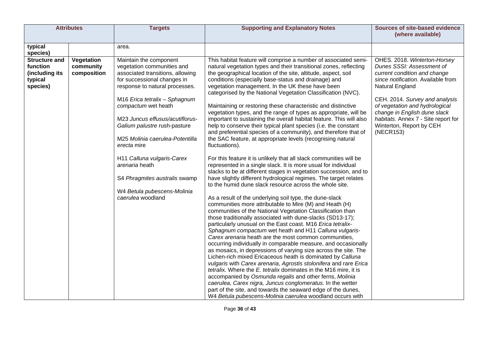|                                                                           | <b>Attributes</b>                      | <b>Targets</b>                                                                                                                                                                                                                                                                                                                                                                                                                                                              | <b>Supporting and Explanatory Notes</b>                                                                                                                                                                                                                                                                                                                                                                                                                                                                                                                                                                                                                                                                                                                                                                                                                                                                                                                                                                                                                                                                                                                                                                                                                                                                                                                                                                                                                                                                                                                                                                                                                                                                                                                                                                                                                                                                                                                                                                                                                                                                                                                                                                | <b>Sources of site-based evidence</b><br>(where available)                                                                                                                                                                                                                                                                             |
|---------------------------------------------------------------------------|----------------------------------------|-----------------------------------------------------------------------------------------------------------------------------------------------------------------------------------------------------------------------------------------------------------------------------------------------------------------------------------------------------------------------------------------------------------------------------------------------------------------------------|--------------------------------------------------------------------------------------------------------------------------------------------------------------------------------------------------------------------------------------------------------------------------------------------------------------------------------------------------------------------------------------------------------------------------------------------------------------------------------------------------------------------------------------------------------------------------------------------------------------------------------------------------------------------------------------------------------------------------------------------------------------------------------------------------------------------------------------------------------------------------------------------------------------------------------------------------------------------------------------------------------------------------------------------------------------------------------------------------------------------------------------------------------------------------------------------------------------------------------------------------------------------------------------------------------------------------------------------------------------------------------------------------------------------------------------------------------------------------------------------------------------------------------------------------------------------------------------------------------------------------------------------------------------------------------------------------------------------------------------------------------------------------------------------------------------------------------------------------------------------------------------------------------------------------------------------------------------------------------------------------------------------------------------------------------------------------------------------------------------------------------------------------------------------------------------------------------|----------------------------------------------------------------------------------------------------------------------------------------------------------------------------------------------------------------------------------------------------------------------------------------------------------------------------------------|
| typical<br>species)                                                       |                                        | area.                                                                                                                                                                                                                                                                                                                                                                                                                                                                       |                                                                                                                                                                                                                                                                                                                                                                                                                                                                                                                                                                                                                                                                                                                                                                                                                                                                                                                                                                                                                                                                                                                                                                                                                                                                                                                                                                                                                                                                                                                                                                                                                                                                                                                                                                                                                                                                                                                                                                                                                                                                                                                                                                                                        |                                                                                                                                                                                                                                                                                                                                        |
| <b>Structure and</b><br>function<br>(including its<br>typical<br>species) | Vegetation<br>community<br>composition | Maintain the component<br>vegetation communities and<br>associated transitions, allowing<br>for successional changes in<br>response to natural processes.<br>M16 Erica tetralix - Sphagnum<br>compactum wet heath<br>M23 Juncus effusus/acutiflorus-<br>Galium palustre rush-pasture<br>M25 Molinia caerulea-Potentilla<br>erecta mire<br>H11 Calluna vulgaris-Carex<br>arenaria heath<br>S4 Phragmites australis swamp<br>W4 Betula pubescens-Molinia<br>caerulea woodland | This habitat feature will comprise a number of associated semi-<br>natural vegetation types and their transitional zones, reflecting<br>the geographical location of the site, altitude, aspect, soil<br>conditions (especially base-status and drainage) and<br>vegetation management. In the UK these have been<br>categorised by the National Vegetation Classification (NVC).<br>Maintaining or restoring these characteristic and distinctive<br>vegetation types, and the range of types as appropriate, will be<br>important to sustaining the overall habitat feature. This will also<br>help to conserve their typical plant species (i.e. the constant<br>and preferential species of a community), and therefore that of<br>the SAC feature, at appropriate levels (recognising natural<br>fluctuations).<br>For this feature it is unlikely that all slack communities will be<br>represented in a single slack. It is more usual for individual<br>slacks to be at different stages in vegetation succession, and to<br>have slightly different hydrological regimes. The target relates<br>to the humid dune slack resource across the whole site.<br>As a result of the underlying soil type, the dune-slack<br>communities more attributable to Mire (M) and Heath (H)<br>communities of the National Vegetation Classification than<br>those traditionally associated with dune-slacks (SD13-17);<br>particularly unusual on the East coast. M16 Erica tetralix-<br>Sphagnum compactum wet heath and H11 Calluna vulgaris-<br>Carex arenaria heath are the most common communities,<br>occurring individually in comparable measure, and occasionally<br>as mosaics, in depressions of varying size across the site. The<br>Lichen-rich mixed Ericaceous heath is dominated by Calluna<br>vulgaris with Carex arenaria, Agrostis stolonifera and rare Erica<br>tetralix. Where the E. tetralix dominates in the M16 mire, it is<br>accompanied by Osmunda regalis and other ferns, Molinia<br>caerulea, Carex nigra, Juncus conglomeratus. In the wetter<br>part of the site, and towards the seaward edge of the dunes,<br>W4 Betula pubescens-Molinia caerulea woodland occurs with | OHES. 2018. Winterton-Horsey<br>Dunes SSSI: Assessment of<br>current condition and change<br>since notification. Available from<br>Natural England<br>CEH. 2014. Survey and analysis<br>of vegetation and hydrological<br>change in English dune slack<br>habitats. Annex 7 - Site report for<br>Winterton, Report by CEH<br>(NECR153) |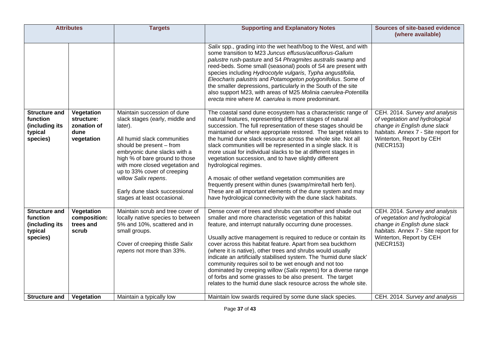| <b>Attributes</b>                                                         |                                                               | <b>Targets</b>                                                                                                                                                                                                                                                                                                                                                   | <b>Supporting and Explanatory Notes</b>                                                                                                                                                                                                                                                                                                                                                                                                                                                                                                                                                                                                                                                                                                                                                                    | <b>Sources of site-based evidence</b><br>(where available)                                                                                                                       |
|---------------------------------------------------------------------------|---------------------------------------------------------------|------------------------------------------------------------------------------------------------------------------------------------------------------------------------------------------------------------------------------------------------------------------------------------------------------------------------------------------------------------------|------------------------------------------------------------------------------------------------------------------------------------------------------------------------------------------------------------------------------------------------------------------------------------------------------------------------------------------------------------------------------------------------------------------------------------------------------------------------------------------------------------------------------------------------------------------------------------------------------------------------------------------------------------------------------------------------------------------------------------------------------------------------------------------------------------|----------------------------------------------------------------------------------------------------------------------------------------------------------------------------------|
|                                                                           |                                                               |                                                                                                                                                                                                                                                                                                                                                                  | Salix spp., grading into the wet heath/bog to the West, and with<br>some transition to M23 Juncus effusus/acutiflorus-Galium<br>palustre rush-pasture and S4 Phragmites australis swamp and<br>reed-beds. Some small (seasonal) pools of S4 are present with<br>species including Hydrocotyle vulgaris, Typha angustifolia,<br>Eleocharis palustris and Potamogeton polygonifolius. Some of<br>the smaller depressions, particularly in the South of the site<br>also support M23, with areas of M25 Molinia caerulea-Potentilla<br>erecta mire where M. caerulea is more predominant.                                                                                                                                                                                                                     |                                                                                                                                                                                  |
| <b>Structure and</b><br>function<br>(including its<br>typical<br>species) | Vegetation<br>structure:<br>zonation of<br>dune<br>vegetation | Maintain succession of dune<br>slack stages (early, middle and<br>later).<br>All humid slack communities<br>should be present - from<br>embryonic dune slacks with a<br>high % of bare ground to those<br>with more closed vegetation and<br>up to 33% cover of creeping<br>willow Salix repens.<br>Early dune slack successional<br>stages at least occasional. | The coastal sand dune ecosystem has a characteristic range of<br>natural features, representing different stages of natural<br>succession. The full representation of these stages should be<br>maintained or where appropriate restored. The target relates to<br>the humid dune slack resource across the whole site. Not all<br>slack communities will be represented in a single slack. It is<br>more usual for individual slacks to be at different stages in<br>vegetation succession, and to have slightly different<br>hydrological regimes.<br>A mosaic of other wetland vegetation communities are<br>frequently present within dunes (swamp/mire/tall herb fen).<br>These are all important elements of the dune system and may<br>have hydrological connectivity with the dune slack habitats. | CEH. 2014. Survey and analysis<br>of vegetation and hydrological<br>change in English dune slack<br>habitats. Annex 7 - Site report for<br>Winterton, Report by CEH<br>(NECR153) |
| <b>Structure and</b><br>function<br>(including its<br>typical<br>species) | Vegetation<br>composition:<br>trees and<br>scrub              | Maintain scrub and tree cover of<br>locally native species to between<br>5% and 10%, scattered and in<br>small groups.<br>Cover of creeping thistle Salix<br>repens not more than 33%.                                                                                                                                                                           | Dense cover of trees and shrubs can smother and shade out<br>smaller and more characteristic vegetation of this habitat<br>feature, and interrupt naturally occurring dune processes.<br>Usually active management is required to reduce or contain its<br>cover across this habitat feature. Apart from sea buckthorn<br>(where it is native), other trees and shrubs would usually<br>indicate an artificially stabilised system. The 'humid dune slack'<br>community requires soil to be wet enough and not too<br>dominated by creeping willow (Salix repens) for a diverse range<br>of forbs and some grasses to be also present. The target<br>relates to the humid dune slack resource across the whole site.                                                                                       | CEH. 2014. Survey and analysis<br>of vegetation and hydrological<br>change in English dune slack<br>habitats. Annex 7 - Site report for<br>Winterton, Report by CEH<br>(NECR153) |
| <b>Structure and</b>                                                      | Vegetation                                                    | Maintain a typically low                                                                                                                                                                                                                                                                                                                                         | Maintain low swards required by some dune slack species.                                                                                                                                                                                                                                                                                                                                                                                                                                                                                                                                                                                                                                                                                                                                                   | CEH. 2014. Survey and analysis                                                                                                                                                   |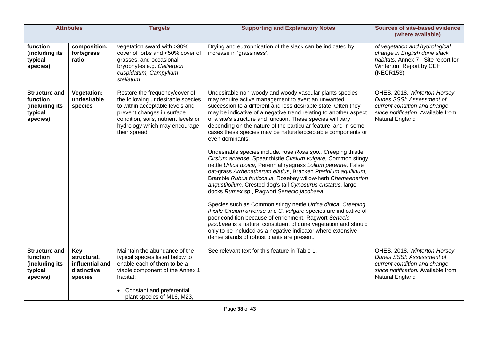|                                                                           | <b>Attributes</b>                                               | <b>Targets</b>                                                                                                                                                                                                                 | <b>Supporting and Explanatory Notes</b>                                                                                                                                                                                                                                                                                                                                                                                                                                                                                                                                                                                                                                                                                                                                                                                                                                                                                                                                                                                                                                                                                                                                                                                                                                                              | <b>Sources of site-based evidence</b><br>(where available)                                                                                         |
|---------------------------------------------------------------------------|-----------------------------------------------------------------|--------------------------------------------------------------------------------------------------------------------------------------------------------------------------------------------------------------------------------|------------------------------------------------------------------------------------------------------------------------------------------------------------------------------------------------------------------------------------------------------------------------------------------------------------------------------------------------------------------------------------------------------------------------------------------------------------------------------------------------------------------------------------------------------------------------------------------------------------------------------------------------------------------------------------------------------------------------------------------------------------------------------------------------------------------------------------------------------------------------------------------------------------------------------------------------------------------------------------------------------------------------------------------------------------------------------------------------------------------------------------------------------------------------------------------------------------------------------------------------------------------------------------------------------|----------------------------------------------------------------------------------------------------------------------------------------------------|
| function<br>(including its<br>typical<br>species)                         | composition:<br>forb/grass<br>ratio                             | vegetation sward with >30%<br>cover of forbs and <50% cover of<br>grasses, and occasional<br>bryophytes e.g. Calliergon<br>cuspidatum, Campylium<br>stellatum                                                                  | Drying and eutrophication of the slack can be indicated by<br>increase in 'grassiness'.                                                                                                                                                                                                                                                                                                                                                                                                                                                                                                                                                                                                                                                                                                                                                                                                                                                                                                                                                                                                                                                                                                                                                                                                              | of vegetation and hydrological<br>change in English dune slack<br>habitats. Annex 7 - Site report for<br>Winterton, Report by CEH<br>(NECR153)     |
| <b>Structure and</b><br>function<br>(including its<br>typical<br>species) | <b>Vegetation:</b><br>undesirable<br>species                    | Restore the frequency/cover of<br>the following undesirable species<br>to within acceptable levels and<br>prevent changes in surface<br>condition, soils, nutrient levels or<br>hydrology which may encourage<br>their spread; | Undesirable non-woody and woody vascular plants species<br>may require active management to avert an unwanted<br>succession to a different and less desirable state. Often they<br>may be indicative of a negative trend relating to another aspect<br>of a site's structure and function. These species will vary<br>depending on the nature of the particular feature, and in some<br>cases these species may be natural/acceptable components or<br>even dominants.<br>Undesirable species include: rose Rosa spp., Creeping thistle<br>Cirsium arvense, Spear thistle Cirsium vulgare, Common stingy<br>nettle Urtica dioica, Perennial ryegrass Lolium perenne, False<br>oat-grass Arrhenatherum elatius, Bracken Pteridium aquilinum,<br>Bramble Rubus fruticosus, Rosebay willow-herb Chamaenerion<br>angustifolium, Crested dog's tail Cynosurus cristatus, large<br>docks Rumex sp., Ragwort Senecio jacobaea,<br>Species such as Common stingy nettle Urtica dioica, Creeping<br>thistle Cirsium arvense and C. vulgare species are indicative of<br>poor condition because of enrichment. Ragwort Senecio<br>jacobaea is a natural constituent of dune vegetation and should<br>only to be included as a negative indicator where extensive<br>dense stands of robust plants are present. | OHES. 2018. Winterton-Horsey<br>Dunes SSSI: Assessment of<br>current condition and change<br>since notification. Available from<br>Natural England |
| <b>Structure and</b><br>function<br>(including its<br>typical<br>species) | Key<br>structural,<br>influential and<br>distinctive<br>species | Maintain the abundance of the<br>typical species listed below to<br>enable each of them to be a<br>viable component of the Annex 1<br>habitat;<br>Constant and preferential<br>plant species of M16, M23,                      | See relevant text for this feature in Table 1.                                                                                                                                                                                                                                                                                                                                                                                                                                                                                                                                                                                                                                                                                                                                                                                                                                                                                                                                                                                                                                                                                                                                                                                                                                                       | OHES. 2018. Winterton-Horsey<br>Dunes SSSI: Assessment of<br>current condition and change<br>since notification. Available from<br>Natural England |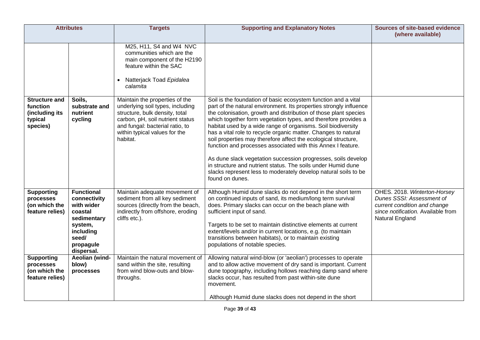| <b>Attributes</b>                                                         |                                                                                                                                       | <b>Targets</b>                                                                                                                                                                                                           | <b>Supporting and Explanatory Notes</b>                                                                                                                                                                                                                                                                                                                                                                                                                                                                                                                                                                                                                                                                                                                               | <b>Sources of site-based evidence</b><br>(where available)                                                                                         |
|---------------------------------------------------------------------------|---------------------------------------------------------------------------------------------------------------------------------------|--------------------------------------------------------------------------------------------------------------------------------------------------------------------------------------------------------------------------|-----------------------------------------------------------------------------------------------------------------------------------------------------------------------------------------------------------------------------------------------------------------------------------------------------------------------------------------------------------------------------------------------------------------------------------------------------------------------------------------------------------------------------------------------------------------------------------------------------------------------------------------------------------------------------------------------------------------------------------------------------------------------|----------------------------------------------------------------------------------------------------------------------------------------------------|
|                                                                           |                                                                                                                                       | M25, H11, S4 and W4 NVC<br>communities which are the<br>main component of the H2190<br>feature within the SAC<br>Natterjack Toad Epidalea<br>calamita                                                                    |                                                                                                                                                                                                                                                                                                                                                                                                                                                                                                                                                                                                                                                                                                                                                                       |                                                                                                                                                    |
| <b>Structure and</b><br>function<br>(including its<br>typical<br>species) | Soils,<br>substrate and<br>nutrient<br>cycling                                                                                        | Maintain the properties of the<br>underlying soil types, including<br>structure, bulk density, total<br>carbon, pH, soil nutrient status<br>and fungal: bacterial ratio, to<br>within typical values for the<br>habitat. | Soil is the foundation of basic ecosystem function and a vital<br>part of the natural environment. Its properties strongly influence<br>the colonisation, growth and distribution of those plant species<br>which together form vegetation types, and therefore provides a<br>habitat used by a wide range of organisms. Soil biodiversity<br>has a vital role to recycle organic matter. Changes to natural<br>soil properties may therefore affect the ecological structure,<br>function and processes associated with this Annex I feature.<br>As dune slack vegetation succession progresses, soils develop<br>in structure and nutrient status. The soils under Humid dune<br>slacks represent less to moderately develop natural soils to be<br>found on dunes. |                                                                                                                                                    |
| <b>Supporting</b><br>processes<br>(on which the<br>feature relies)        | <b>Functional</b><br>connectivity<br>with wider<br>coastal<br>sedimentary<br>system,<br>including<br>seed/<br>propagule<br>dispersal. | Maintain adequate movement of<br>sediment from all key sediment<br>sources (directly from the beach,<br>indirectly from offshore, eroding<br>cliffs etc.).                                                               | Although Humid dune slacks do not depend in the short term<br>on continued inputs of sand, its medium/long term survival<br>does. Primary slacks can occur on the beach plane with<br>sufficient input of sand.<br>Targets to be set to maintain distinctive elements at current<br>extent/levels and/or in current locations, e.g. (to maintain<br>transitions between habitats), or to maintain existing<br>populations of notable species.                                                                                                                                                                                                                                                                                                                         | OHES. 2018. Winterton-Horsey<br>Dunes SSSI: Assessment of<br>current condition and change<br>since notification. Available from<br>Natural England |
| <b>Supporting</b><br>processes<br>(on which the<br>feature relies)        | Aeolian (wind-<br>blow)<br>processes                                                                                                  | Maintain the natural movement of<br>sand within the site, resulting<br>from wind blow-outs and blow-<br>throughs.                                                                                                        | Allowing natural wind-blow (or 'aeolian') processes to operate<br>and to allow active movement of dry sand is important. Current<br>dune topography, including hollows reaching damp sand where<br>slacks occur, has resulted from past within-site dune<br>movement.<br>Although Humid dune slacks does not depend in the short                                                                                                                                                                                                                                                                                                                                                                                                                                      |                                                                                                                                                    |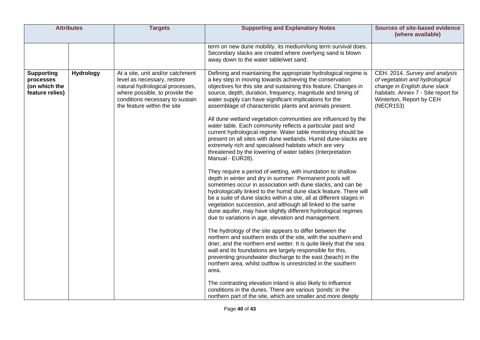| <b>Attributes</b>                                                  |                  | <b>Targets</b>                                                                                                                                                                                         | <b>Supporting and Explanatory Notes</b>                                                                                                                                                                                                                                                                                                                                                                                                                                                                                                                                                                                                                                                                                                                                                                                                                                                                                                                                                                                                                                                                                                                                                                                                                                                                                                                                                                                                                                                                                                                                                                                                                                                                                                                                                                                                                                                                                               | <b>Sources of site-based evidence</b><br>(where available)                                                                                                                       |
|--------------------------------------------------------------------|------------------|--------------------------------------------------------------------------------------------------------------------------------------------------------------------------------------------------------|---------------------------------------------------------------------------------------------------------------------------------------------------------------------------------------------------------------------------------------------------------------------------------------------------------------------------------------------------------------------------------------------------------------------------------------------------------------------------------------------------------------------------------------------------------------------------------------------------------------------------------------------------------------------------------------------------------------------------------------------------------------------------------------------------------------------------------------------------------------------------------------------------------------------------------------------------------------------------------------------------------------------------------------------------------------------------------------------------------------------------------------------------------------------------------------------------------------------------------------------------------------------------------------------------------------------------------------------------------------------------------------------------------------------------------------------------------------------------------------------------------------------------------------------------------------------------------------------------------------------------------------------------------------------------------------------------------------------------------------------------------------------------------------------------------------------------------------------------------------------------------------------------------------------------------------|----------------------------------------------------------------------------------------------------------------------------------------------------------------------------------|
|                                                                    |                  |                                                                                                                                                                                                        | term on new dune mobility, its medium/long term survival does.<br>Secondary slacks are created where overlying sand is blown<br>away down to the water table/wet sand.                                                                                                                                                                                                                                                                                                                                                                                                                                                                                                                                                                                                                                                                                                                                                                                                                                                                                                                                                                                                                                                                                                                                                                                                                                                                                                                                                                                                                                                                                                                                                                                                                                                                                                                                                                |                                                                                                                                                                                  |
| <b>Supporting</b><br>processes<br>(on which the<br>feature relies) | <b>Hydrology</b> | At a site, unit and/or catchment<br>level as necessary, restore<br>natural hydrological processes,<br>where possible, to provide the<br>conditions necessary to sustain<br>the feature within the site | Defining and maintaining the appropriate hydrological regime is<br>a key step in moving towards achieving the conservation<br>objectives for this site and sustaining this feature. Changes in<br>source, depth, duration, frequency, magnitude and timing of<br>water supply can have significant implications for the<br>assemblage of characteristic plants and animals present.<br>All dune wetland vegetation communities are influenced by the<br>water table. Each community reflects a particular past and<br>current hydrological regime. Water table monitoring should be<br>present on all sites with dune wetlands. Humid dune-slacks are<br>extremely rich and specialised habitats which are very<br>threatened by the lowering of water tables (Interpretation<br>Manual - EUR28).<br>They require a period of wetting, with inundation to shallow<br>depth in winter and dry in summer. Permanent pools will<br>sometimes occur in association with dune slacks, and can be<br>hydrologically linked to the humid dune slack feature. There will<br>be a suite of dune slacks within a site, all at different stages in<br>vegetation succession, and although all linked to the same<br>dune aquifer, may have slightly different hydrological regimes<br>due to variations in age, elevation and management.<br>The hydrology of the site appears to differ between the<br>northern and southern ends of the site, with the southern end<br>drier, and the northern end wetter. It is quite likely that the sea<br>wall and its foundations are largely responsible for this,<br>preventing groundwater discharge to the east (beach) in the<br>northern area, whilst outflow is unrestricted in the southern<br>area.<br>The contrasting elevation inland is also likely to influence<br>conditions in the dunes. There are various 'ponds' in the<br>northern part of the site, which are smaller and more deeply | CEH. 2014. Survey and analysis<br>of vegetation and hydrological<br>change in English dune slack<br>habitats. Annex 7 - Site report for<br>Winterton, Report by CEH<br>(NECR153) |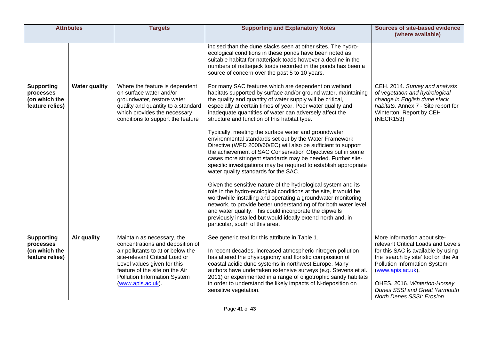| <b>Attributes</b>                                                  |                      | <b>Targets</b>                                                                                                                                                                                                                                              | <b>Supporting and Explanatory Notes</b>                                                                                                                                                                                                                                                                                                                                                                                                                                                                                                                                                                                                                                                                                                                                                                                                                                                                                                                                                                                                                                                                                                                                                                                         | <b>Sources of site-based evidence</b><br>(where available)                                                                                                                                                                                                                                                        |
|--------------------------------------------------------------------|----------------------|-------------------------------------------------------------------------------------------------------------------------------------------------------------------------------------------------------------------------------------------------------------|---------------------------------------------------------------------------------------------------------------------------------------------------------------------------------------------------------------------------------------------------------------------------------------------------------------------------------------------------------------------------------------------------------------------------------------------------------------------------------------------------------------------------------------------------------------------------------------------------------------------------------------------------------------------------------------------------------------------------------------------------------------------------------------------------------------------------------------------------------------------------------------------------------------------------------------------------------------------------------------------------------------------------------------------------------------------------------------------------------------------------------------------------------------------------------------------------------------------------------|-------------------------------------------------------------------------------------------------------------------------------------------------------------------------------------------------------------------------------------------------------------------------------------------------------------------|
|                                                                    |                      |                                                                                                                                                                                                                                                             | incised than the dune slacks seen at other sites. The hydro-<br>ecological conditions in these ponds have been noted as<br>suitable habitat for natterjack toads however a decline in the<br>numbers of natterjack toads recorded in the ponds has been a<br>source of concern over the past 5 to 10 years.                                                                                                                                                                                                                                                                                                                                                                                                                                                                                                                                                                                                                                                                                                                                                                                                                                                                                                                     |                                                                                                                                                                                                                                                                                                                   |
| <b>Supporting</b><br>processes<br>(on which the<br>feature relies) | <b>Water quality</b> | Where the feature is dependent<br>on surface water and/or<br>groundwater, restore water<br>quality and quantity to a standard<br>which provides the necessary<br>conditions to support the feature                                                          | For many SAC features which are dependent on wetland<br>habitats supported by surface and/or ground water, maintaining<br>the quality and quantity of water supply will be critical,<br>especially at certain times of year. Poor water quality and<br>inadequate quantities of water can adversely affect the<br>structure and function of this habitat type.<br>Typically, meeting the surface water and groundwater<br>environmental standards set out by the Water Framework<br>Directive (WFD 2000/60/EC) will also be sufficient to support<br>the achievement of SAC Conservation Objectives but in some<br>cases more stringent standards may be needed. Further site-<br>specific investigations may be required to establish appropriate<br>water quality standards for the SAC.<br>Given the sensitive nature of the hydrological system and its<br>role in the hydro-ecological conditions at the site, it would be<br>worthwhile installing and operating a groundwater monitoring<br>network, to provide better understanding of for both water level<br>and water quality. This could incorporate the dipwells<br>previously installed but would ideally extend north and, in<br>particular, south of this area. | CEH. 2014. Survey and analysis<br>of vegetation and hydrological<br>change in English dune slack<br>habitats. Annex 7 - Site report for<br>Winterton, Report by CEH<br>(NECR153)                                                                                                                                  |
| <b>Supporting</b><br>processes<br>(on which the<br>feature relies) | Air quality          | Maintain as necessary, the<br>concentrations and deposition of<br>air pollutants to at or below the<br>site-relevant Critical Load or<br>Level values given for this<br>feature of the site on the Air<br>Pollution Information System<br>(www.apis.ac.uk). | See generic text for this attribute in Table 1.<br>In recent decades, increased atmospheric nitrogen pollution<br>has altered the physiognomy and floristic composition of<br>coastal acidic dune systems in northwest Europe. Many<br>authors have undertaken extensive surveys (e.g. Stevens et al.<br>2011) or experimented in a range of oligotrophic sandy habitats<br>in order to understand the likely impacts of N-deposition on<br>sensitive vegetation.                                                                                                                                                                                                                                                                                                                                                                                                                                                                                                                                                                                                                                                                                                                                                               | More information about site-<br>relevant Critical Loads and Levels<br>for this SAC is available by using<br>the 'search by site' tool on the Air<br><b>Pollution Information System</b><br>(www.apis.ac.uk).<br>OHES. 2016. Winterton-Horsey<br><b>Dunes SSSI and Great Yarmouth</b><br>North Denes SSSI: Erosion |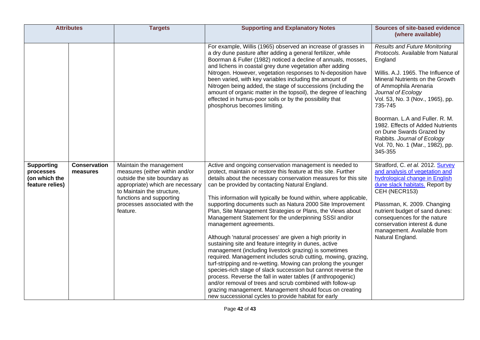| <b>Attributes</b>                                                  |                                 | <b>Targets</b>                                                                                                                                                                                                                       | <b>Supporting and Explanatory Notes</b>                                                                                                                                                                                                                                                                                                                                                                                                                                                                                                                                                                                                                                                                                                                                                                                                                                                                                                                                                                                                                                                                                                                                | <b>Sources of site-based evidence</b><br>(where available)                                                                                                                                                                                                                                                                                                                                                                                   |
|--------------------------------------------------------------------|---------------------------------|--------------------------------------------------------------------------------------------------------------------------------------------------------------------------------------------------------------------------------------|------------------------------------------------------------------------------------------------------------------------------------------------------------------------------------------------------------------------------------------------------------------------------------------------------------------------------------------------------------------------------------------------------------------------------------------------------------------------------------------------------------------------------------------------------------------------------------------------------------------------------------------------------------------------------------------------------------------------------------------------------------------------------------------------------------------------------------------------------------------------------------------------------------------------------------------------------------------------------------------------------------------------------------------------------------------------------------------------------------------------------------------------------------------------|----------------------------------------------------------------------------------------------------------------------------------------------------------------------------------------------------------------------------------------------------------------------------------------------------------------------------------------------------------------------------------------------------------------------------------------------|
|                                                                    |                                 |                                                                                                                                                                                                                                      | For example, Willis (1965) observed an increase of grasses in<br>a dry dune pasture after adding a general fertilizer, while<br>Boorman & Fuller (1982) noticed a decline of annuals, mosses,<br>and lichens in coastal grey dune vegetation after adding<br>Nitrogen. However, vegetation responses to N-deposition have<br>been varied, with key variables including the amount of<br>Nitrogen being added, the stage of successions (including the<br>amount of organic matter in the topsoil), the degree of leaching<br>effected in humus-poor soils or by the possibility that<br>phosphorus becomes limiting.                                                                                                                                                                                                                                                                                                                                                                                                                                                                                                                                                   | <b>Results and Future Monitoring</b><br>Protocols. Available from Natural<br>England<br>Willis. A.J. 1965. The Influence of<br>Mineral Nutrients on the Growth<br>of Ammophila Arenaria<br>Journal of Ecology<br>Vol. 53, No. 3 (Nov., 1965), pp.<br>735-745<br>Boorman. L.A and Fuller. R. M.<br>1982. Effects of Added Nutrients<br>on Dune Swards Grazed by<br>Rabbits. Journal of Ecology<br>Vol. 70, No. 1 (Mar., 1982), pp.<br>345-355 |
| <b>Supporting</b><br>processes<br>(on which the<br>feature relies) | <b>Conservation</b><br>measures | Maintain the management<br>measures (either within and/or<br>outside the site boundary as<br>appropriate) which are necessary<br>to Maintain the structure,<br>functions and supporting<br>processes associated with the<br>feature. | Active and ongoing conservation management is needed to<br>protect, maintain or restore this feature at this site. Further<br>details about the necessary conservation measures for this site<br>can be provided by contacting Natural England.<br>This information will typically be found within, where applicable,<br>supporting documents such as Natura 2000 Site Improvement<br>Plan, Site Management Strategies or Plans, the Views about<br>Management Statement for the underpinning SSSI and/or<br>management agreements.<br>Although 'natural processes' are given a high priority in<br>sustaining site and feature integrity in dunes, active<br>management (including livestock grazing) is sometimes<br>required. Management includes scrub cutting, mowing, grazing,<br>turf-stripping and re-wetting. Mowing can prolong the younger<br>species-rich stage of slack succession but cannot reverse the<br>process. Reverse the fall in water tables (if anthropogenic)<br>and/or removal of trees and scrub combined with follow-up<br>grazing management. Management should focus on creating<br>new successional cycles to provide habitat for early | Stratford, C. et al. 2012. Survey<br>and analysis of vegetation and<br>hydrological change in English<br>dune slack habitats. Report by<br>CEH (NECR153)<br>Plassman, K. 2009. Changing<br>nutrient budget of sand dunes:<br>consequences for the nature<br>conservation interest & dune<br>management. Available from<br>Natural England.                                                                                                   |